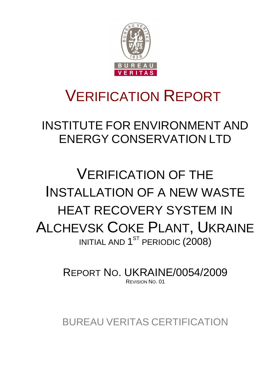

# VERIFICATION REPORT

INSTITUTE FOR ENVIRONMENT AND ENERGY CONSERVATION LTD

# VERIFICATION OF THE INSTALLATION OF A NEW WASTE HEAT RECOVERY SYSTEM IN ALCHEVSK COKE PLANT, UKRAINE INITIAL AND  $1^\mathrm{ST}$  PERIODIC ( $2008$ )

REPORT NO. UKRAINE/0054/2009 REVISION NO. 01

BUREAU VERITAS CERTIFICATION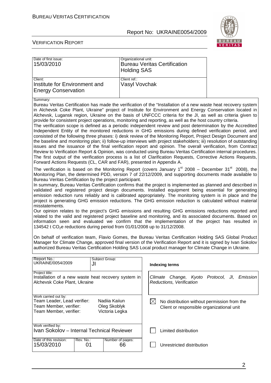

#### VERIFICATION REPORT

| Date of first issue:<br>15/03/2010                                                                                                                                                                                                                                                                                                                                                                                                                                                                                                                                                                                                                                                                                                                       |                      | Organizational unit:<br><b>Holding SAS</b> | <b>Bureau Veritas Certification</b>                                                                                                                                                                                                                                                                                                                                                                                                                                                                                                                                                                                                                                                                                                                                                                                                                                                                                                                                                                                                                                                                                                                                                                                                                                                                                                                                                                             |
|----------------------------------------------------------------------------------------------------------------------------------------------------------------------------------------------------------------------------------------------------------------------------------------------------------------------------------------------------------------------------------------------------------------------------------------------------------------------------------------------------------------------------------------------------------------------------------------------------------------------------------------------------------------------------------------------------------------------------------------------------------|----------------------|--------------------------------------------|-----------------------------------------------------------------------------------------------------------------------------------------------------------------------------------------------------------------------------------------------------------------------------------------------------------------------------------------------------------------------------------------------------------------------------------------------------------------------------------------------------------------------------------------------------------------------------------------------------------------------------------------------------------------------------------------------------------------------------------------------------------------------------------------------------------------------------------------------------------------------------------------------------------------------------------------------------------------------------------------------------------------------------------------------------------------------------------------------------------------------------------------------------------------------------------------------------------------------------------------------------------------------------------------------------------------------------------------------------------------------------------------------------------------|
| Client:<br>Institute for Environment and<br><b>Energy Conservation</b>                                                                                                                                                                                                                                                                                                                                                                                                                                                                                                                                                                                                                                                                                   |                      | Client ref.:<br>Vasyl Vovchak              |                                                                                                                                                                                                                                                                                                                                                                                                                                                                                                                                                                                                                                                                                                                                                                                                                                                                                                                                                                                                                                                                                                                                                                                                                                                                                                                                                                                                                 |
| Summary:<br>provide for consistent project operations, monitoring and reporting, as well as the host country criteria.<br>Forward Actions Requests (CL, CAR and FAR), presented in Appendix A.                                                                                                                                                                                                                                                                                                                                                                                                                                                                                                                                                           |                      |                                            | Bureau Veritas Certification has made the verification of the "Installation of a new waste heat recovery system<br>in Alchevsk Coke Plant, Ukraine" project of Institute for Environment and Energy Conservation located in<br>Alchevsk, Lugansk region, Ukraine on the basis of UNFCCC criteria for the JI, as well as criteria given to<br>The verification scope is defined as a periodic independent review and post determination by the Accredited<br>Independent Entity of the monitored reductions in GHG emissions during defined verification period, and<br>consisted of the following three phases: i) desk review of the Monitoring Report, Project Design Document and<br>the baseline and monitoring plan; ii) follow-up interviews with project stakeholders; iii) resolution of outstanding<br>issues and the issuance of the final verification report and opinion. The overall verification, from Contract<br>Review to Verification Report & Opinion, was conducted using Bureau Veritas Certification internal procedures.<br>The first output of the verification process is a list of Clarification Requests, Corrective Actions Requests,<br>The verification is based on the Monitoring Report (covers January 1 <sup>st</sup> 2008 – December 31 <sup>st</sup> 2008), the<br>Monitoring Plan, the determined PDD, version 7 of 22/12/2009, and supporting documents made available to |
| Bureau Veritas Certification by the project participant.<br>In summary, Bureau Veritas Certification confirms that the project is implemented as planned and described in<br>validated and registered project design documents. Installed equipment being essential for generating<br>emission reduction runs reliably and is calibrated appropriately. The monitoring system is in place and the<br>project is generating GHG emission reductions. The GHG emission reduction is calculated without material<br>misstatements.<br>Our opinion relates to the project's GHG emissions and resulting GHG emissions reductions reported and<br>related to the valid and registered project baseline and monitoring, and its associated documents. Based on |                      |                                            |                                                                                                                                                                                                                                                                                                                                                                                                                                                                                                                                                                                                                                                                                                                                                                                                                                                                                                                                                                                                                                                                                                                                                                                                                                                                                                                                                                                                                 |
| 134542 t CO <sub>2</sub> e reductions during period from 01/01/2008 up to 31/12/2008.                                                                                                                                                                                                                                                                                                                                                                                                                                                                                                                                                                                                                                                                    |                      |                                            | information seen and evaluated we confirm that the implementation of the project has resulted in                                                                                                                                                                                                                                                                                                                                                                                                                                                                                                                                                                                                                                                                                                                                                                                                                                                                                                                                                                                                                                                                                                                                                                                                                                                                                                                |
|                                                                                                                                                                                                                                                                                                                                                                                                                                                                                                                                                                                                                                                                                                                                                          |                      |                                            | On behalf of verification team, Flavio Gomes, the Bureau Veritas Certification Holding SAS Global Product<br>Manager for Climate Change, approved final version of the Verification Report and it is signed by Ivan Sokolov<br>authorized Bureau Veritas Certification Holding SAS Local product manager for Climate Change in Ukraine.                                                                                                                                                                                                                                                                                                                                                                                                                                                                                                                                                                                                                                                                                                                                                                                                                                                                                                                                                                                                                                                                         |
| Report No.:<br>UKRAINE/0054/2009                                                                                                                                                                                                                                                                                                                                                                                                                                                                                                                                                                                                                                                                                                                         | Subject Group:<br>JI |                                            | <b>Indexing terms</b>                                                                                                                                                                                                                                                                                                                                                                                                                                                                                                                                                                                                                                                                                                                                                                                                                                                                                                                                                                                                                                                                                                                                                                                                                                                                                                                                                                                           |
| Project title:<br>Installation of a new waste heat recovery system in<br>Alchevsk Coke Plant, Ukraine                                                                                                                                                                                                                                                                                                                                                                                                                                                                                                                                                                                                                                                    |                      |                                            | Climate Change, Kyoto Protocol, JI,<br>Emission<br>Reductions, Verification                                                                                                                                                                                                                                                                                                                                                                                                                                                                                                                                                                                                                                                                                                                                                                                                                                                                                                                                                                                                                                                                                                                                                                                                                                                                                                                                     |
| Work carried out by:<br>Team Leader, Lead verifier:<br>Nadiia Kaiiun<br>Team Member, verifier:<br>Oleg Skoblyk<br>Team Member, verifier:<br>Victoria Legka                                                                                                                                                                                                                                                                                                                                                                                                                                                                                                                                                                                               |                      |                                            | $\boxtimes$<br>No distribution without permission from the<br>Client or responsible organizational unit                                                                                                                                                                                                                                                                                                                                                                                                                                                                                                                                                                                                                                                                                                                                                                                                                                                                                                                                                                                                                                                                                                                                                                                                                                                                                                         |
| Work verified by:<br>Ivan Sokolov - Internal Technical Reviewer                                                                                                                                                                                                                                                                                                                                                                                                                                                                                                                                                                                                                                                                                          |                      |                                            | Limited distribution                                                                                                                                                                                                                                                                                                                                                                                                                                                                                                                                                                                                                                                                                                                                                                                                                                                                                                                                                                                                                                                                                                                                                                                                                                                                                                                                                                                            |
| Date of this revision:<br>Rev. No.:<br>15/03/2010<br>01                                                                                                                                                                                                                                                                                                                                                                                                                                                                                                                                                                                                                                                                                                  |                      | Number of pages:<br>66                     | Unrestricted distribution                                                                                                                                                                                                                                                                                                                                                                                                                                                                                                                                                                                                                                                                                                                                                                                                                                                                                                                                                                                                                                                                                                                                                                                                                                                                                                                                                                                       |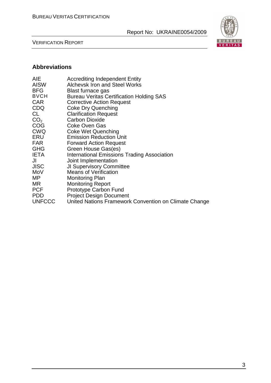VERIFICATION REPORT



### **Abbreviations**

| AIE<br><b>AISW</b><br><b>BFG</b><br><b>BVCH</b><br><b>CAR</b><br><b>CDQ</b><br>CL<br>CO <sub>2</sub><br><b>COG</b> | <b>Accrediting Independent Entity</b><br><b>Alchevsk Iron and Steel Works</b><br>Blast furnace gas<br><b>Bureau Veritas Certification Holding SAS</b><br><b>Corrective Action Request</b><br><b>Coke Dry Quenching</b><br><b>Clarification Request</b><br><b>Carbon Dioxide</b><br><b>Coke Oven Gas</b> |
|--------------------------------------------------------------------------------------------------------------------|---------------------------------------------------------------------------------------------------------------------------------------------------------------------------------------------------------------------------------------------------------------------------------------------------------|
| <b>CWQ</b>                                                                                                         | Coke Wet Quenching                                                                                                                                                                                                                                                                                      |
| ERU                                                                                                                | <b>Emission Reduction Unit</b>                                                                                                                                                                                                                                                                          |
| <b>FAR</b>                                                                                                         | <b>Forward Action Request</b>                                                                                                                                                                                                                                                                           |
| <b>GHG</b>                                                                                                         | Green House Gas(es)                                                                                                                                                                                                                                                                                     |
| <b>IETA</b>                                                                                                        | <b>International Emissions Trading Association</b>                                                                                                                                                                                                                                                      |
| JI                                                                                                                 | Joint Implementation                                                                                                                                                                                                                                                                                    |
| <b>JISC</b>                                                                                                        | <b>JI Supervisory Committee</b>                                                                                                                                                                                                                                                                         |
| MoV                                                                                                                | <b>Means of Verification</b>                                                                                                                                                                                                                                                                            |
| MP.                                                                                                                | Monitoring Plan                                                                                                                                                                                                                                                                                         |
| MR.                                                                                                                | <b>Monitoring Report</b>                                                                                                                                                                                                                                                                                |
| <b>PCF</b>                                                                                                         | <b>Prototype Carbon Fund</b>                                                                                                                                                                                                                                                                            |
| <b>PDD</b>                                                                                                         | <b>Project Design Document</b>                                                                                                                                                                                                                                                                          |
| <b>UNFCCC</b>                                                                                                      | United Nations Framework Convention on Climate Change                                                                                                                                                                                                                                                   |
|                                                                                                                    |                                                                                                                                                                                                                                                                                                         |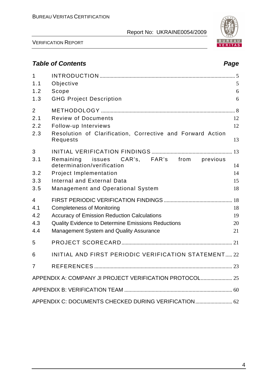

VERIFICATION REPORT

# **Table of Contents Page 2018**

| $\mathbf{1}$   |                                                                        |    |
|----------------|------------------------------------------------------------------------|----|
| 1.1            | Objective                                                              | 5  |
| 1.2            | Scope                                                                  | 6  |
| 1.3            | <b>GHG Project Description</b>                                         | 6  |
| $\overline{2}$ |                                                                        |    |
| 2.1            | <b>Review of Documents</b>                                             | 12 |
| 2.2            | Follow-up Interviews                                                   | 12 |
| 2.3            | Resolution of Clarification, Corrective and Forward Action<br>Requests | 13 |
| 3              |                                                                        |    |
| 3.1            | Remaining issues CAR's, FAR's from previous                            |    |
|                | determination/verification                                             | 14 |
| 3.2            | <b>Project Implementation</b>                                          | 14 |
| 3.3            | Internal and External Data                                             | 15 |
| 3.5            | <b>Management and Operational System</b>                               | 18 |
| $\overline{4}$ |                                                                        |    |
| 4.1            | <b>Completeness of Monitoring</b>                                      | 18 |
| 4.2            | <b>Accuracy of Emission Reduction Calculations</b>                     | 19 |
| 4.3            | Quality Evidence to Determine Emissions Reductions                     | 20 |
| 4.4            | Management System and Quality Assurance                                | 21 |
| 5              |                                                                        |    |
| 6              | INITIAL AND FIRST PERIODIC VERIFICATION STATEMENT 22                   |    |
| 7              |                                                                        |    |
|                | APPENDIX A: COMPANY JI PROJECT VERIFICATION PROTOCOL 25                |    |
|                |                                                                        |    |
|                | APPENDIX C: DOCUMENTS CHECKED DURING VERIFICATION 62                   |    |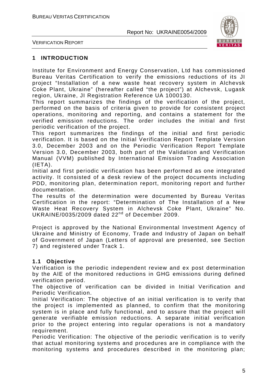

VERIFICATION REPORT

#### **1 INTRODUCTION**

Institute for Environment and Energy Conservation, Ltd has commissioned Bureau Veritas Certification to verify the emissions reductions of its JI project "Installation of a new waste heat recovery system in Alchevsk Coke Plant, Ukraine" (hereafter called "the project") at Alchevsk, Lugask region, Ukraine, JI Registration Reference UA 1000130.

This report summarizes the findings of the verification of the project, performed on the basis of criteria given to provide for consistent project operations, monitoring and reporting, and contains a statement for the verified emission reductions. The order includes the initial and first periodic verification of the project.

This report summarizes the findings of the initial and first periodic verification. It is based on the Initial Verification Report Template Version 3.0, December 2003 and on the Periodic Verification Report Template Version 3.0, December 2003, both part of the Validation and Verification Manual (VVM) published by International Emission Trading Association (IETA).

Initial and first periodic verification has been performed as one integrated activity. It consisted of a desk review of the project documents including PDD, monitoring plan, determination report, monitoring report and further documentation.

The results of the determination were documented by Bureau Veritas Certification in the report: "Determination of The Installation of a New Waste Heat Recovery System in Alchevsk Coke Plant, Ukraine" No. UKRAINE/0035/2009 dated 22<sup>nd</sup> of December 2009.

Project is approved by the National Environmental Investment Agency of Ukraine and Ministry of Economy, Trade and Industry of Japan on behalf of Government of Japan (Letters of approval are presented, see Section 7) and registered under Track 1.

#### **1.1 Objective**

Verification is the periodic independent review and ex post determination by the AIE of the monitored reductions in GHG emissions during defined verification period.

The objective of verification can be divided in Initial Verification and Periodic Verification.

Initial Verification: The objective of an initial verification is to verify that the project is implemented as planned, to confirm that the monitoring system is in place and fully functional, and to assure that the project will generate verifiable emission reductions. A separate initial verification prior to the project entering into regular operations is not a mandatory requirement.

Periodic Verification: The objective of the periodic verification is to verify that actual monitoring systems and procedures are in compliance with the monitoring systems and procedures described in the monitoring plan;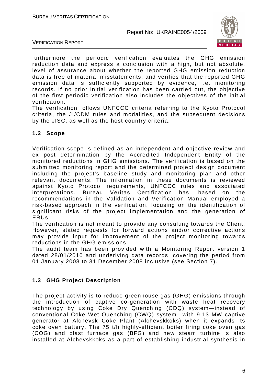

VERIFICATION REPORT

furthermore the periodic verification evaluates the GHG emission reduction data and express a conclusion with a high, but not absolute, level of assurance about whether the reported GHG emission reduction data is free of material misstatements; and verifies that the reported GHG emission data is sufficiently supported by evidence, i.e. monitoring records. If no prior initial verification has been carried out, the objective of the first periodic verification also includes the objectives of the initial verification.

The verification follows UNFCCC criteria referring to the Kyoto Protocol criteria, the JI/CDM rules and modalities, and the subsequent decisions by the JISC, as well as the host country criteria.

#### **1.2 Scope**

Verification scope is defined as an independent and objective review and ex post determination by the Accredited Independent Entity of the monitored reductions in GHG emissions. The verification is based on the submitted monitoring report and the determined project design document including the project's baseline study and monitoring plan and other relevant documents. The information in these documents is reviewed against Kyoto Protocol requirements, UNFCCC rules and associated interpretations. Bureau Veritas Certification has, based on the recommendations in the Validation and Verification Manual employed a risk-based approach in the verification, focusing on the identification of significant risks of the project implementation and the generation of ERUs.

The verification is not meant to provide any consulting towards the Client. However, stated requests for forward actions and/or corrective actions may provide input for improvement of the project monitoring towards reductions in the GHG emissions.

The audit team has been provided with a Monitoring Report version 1 dated 28/01/2010 and underlying data records, covering the period from 01 January 2008 to 31 December 2008 inclusive (see Section 7).

### **1.3 GHG Project Description**

The project activity is to reduce greenhouse gas (GHG) emissions through the introduction of captive co-generation with waste heat recovery technology by using Coke Dry Quenching (CDQ) system—instead of conventional Coke Wet Quenching (CWQ) system—with 9.13 MW captive generator at Alchevsk Coke Plant (Alchevskkoks) when it expands its coke oven battery. The 75 t/h highly-efficient boiler firing coke oven gas (COG) and blast furnace gas (BFG) and new steam turbine is also installed at Alchevskkoks as a part of establishing industrial synthesis in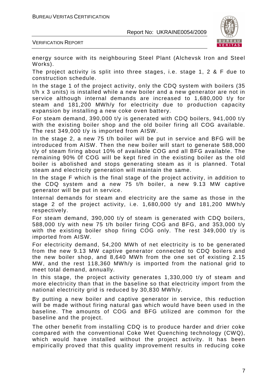

VERIFICATION REPORT

energy source with its neighbouring Steel Plant (Alchevsk Iron and Steel Works).

The project activity is split into three stages, i.e. stage 1, 2 & F due to construction schedule.

In the stage 1 of the project activity, only the CDQ system with boilers (35 t/h x 3 units) is installed while a new boiler and a new generator are not in service although internal demands are increased to 1,680,000 t/y for steam and 181,200 MWh/y for electricity due to production capacity expansion by installing a new coke oven battery.

For steam demand, 390,000 t/y is generated with CDQ boilers, 941,000 t/y with the existing boiler shop and the old boiler firing all COG available. The rest 349,000 t/y is imported from AISW.

In the stage 2, a new 75 t/h boiler will be put in service and BFG will be introduced from AISW. Then the new boiler will start to generate 588,000 t/y of steam firing about 10% of available COG and all BFG available. The remaining 90% 0f COG will be kept fired in the existing boiler as the old boiler is abolished and stops generating steam as it is planned. Total steam and electricity generation will maintain the same.

In the stage F which is the final stage of the project activity, in addition to the CDQ system and a new 75 t/h boiler, a new 9.13 MW captive generator will be put in service.

Internal demands for steam and electricity are the same as those in the stage 2 of the project activity, i.e. 1,680,000 t/y and 181,200 MWh/y respectively.

For steam demand, 390,000 t/y of steam is generated with CDQ boilers, 588,000 t/y with new 75 t/h boiler firing COG and BFG, and 353,000 t/y with the existing boiler shop firing COG only. The rest 349,000 t/y is imported from AISW.

For electricity demand, 54,200 MWh of net electricity is to be generated from the new 9.13 MW captive generator connected to CDQ boilers and the new boiler shop, and 8,640 MWh from the one set of existing 2.15 MW, and the rest 118,360 MWh/y is imported from the national grid to meet total demand, annually.

In this stage, the project activity generates 1,330,000 t/y of steam and more electricity than that in the baseline so that electricity import from the national electricity grid is reduced by 30,830 MWh/y.

By putting a new boiler and captive generator in service, this reduction will be made without firing natural gas which would have been used in the baseline. The amounts of COG and BFG utilized are common for the baseline and the project.

The other benefit from installing CDQ is to produce harder and drier coke compared with the conventional Coke Wet Quenching technology (CWQ), which would have installed without the project activity. It has been empirically proved that this quality improvement results in reducing coke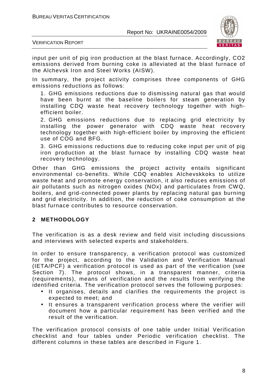

VERIFICATION REPORT

input per unit of pig iron production at the blast furnace. Accordingly, CO2 emissions derived from burning coke is alleviated at the blast furnace of the Alchevsk Iron and Steel Works (AISW).

In summary, the project activity comprises three components of GHG emissions reductions as follows:

1. GHG emissions reductions due to dismissing natural gas that would have been burnt at the baseline boilers for steam generation by installing CDQ waste heat recovery technology together with highefficient boiler.

2. GHG emissions reductions due to replacing grid electricity by installing the power generator with CDQ waste heat recovery technology together with high-efficient boiler by improving the efficient use of COG and BFG.

3. GHG emissions reductions due to reducing coke input per unit of pig iron production at the blast furnace by installing CDQ waste heat recovery technology.

Other than GHG emissions the project activity entails significant environmental co-benefits. While CDQ enables Alchevskkoks to utilize waste heat and promote energy conservation, it also reduces emissions of air pollutants such as nitrogen oxides (NOx) and particulates from CWQ, boilers, and grid-connected power plants by replacing natural gas burning and grid electricity. In addition, the reduction of coke consumption at the blast furnace contributes to resource conservation.

### **2 METHODOLOGY**

The verification is as a desk review and field visit including discussions and interviews with selected experts and stakeholders.

In order to ensure transparency, a verification protocol was customized for the project, according to the Validation and Verification Manual (IETA/PCF) a verification protocol is used as part of the verification (see Section 7). The protocol shows, in a transparent manner, criteria (requirements), means of verification and the results from verifying the identified criteria. The verification protocol serves the following purposes:

- It organises, details and clarifies the requirements the project is expected to meet; and
- It ensures a transparent verification process where the verifier will document how a particular requirement has been verified and the result of the verification.

The verification protocol consists of one table under Initial Verification checklist and four tables under Periodic verification checklist. The different columns in these tables are described in Figure 1.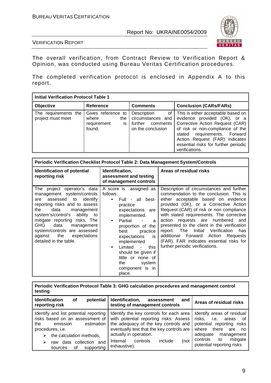

VERIFICATION REPORT

The overall verification, from Contract Review to Verification Report & Opinion, was conducted using Bureau Veritas Certification procedures.

The completed verification protocol is enclosed in Appendix A to this report.

| <b>Initial Verification Protocol Table 1</b> |                                                                   |                                                                                    |                                                                                                                                                                                                                                                                       |  |  |  |
|----------------------------------------------|-------------------------------------------------------------------|------------------------------------------------------------------------------------|-----------------------------------------------------------------------------------------------------------------------------------------------------------------------------------------------------------------------------------------------------------------------|--|--|--|
| <b>Objective</b>                             | <b>Reference</b>                                                  | <b>Comments</b>                                                                    | <b>Conclusion (CARs/FARs)</b>                                                                                                                                                                                                                                         |  |  |  |
| The requirements the<br>project must meet    | Gives reference to<br>where<br>the<br>requirement<br>is<br>found. | Description<br>0f<br>circumstances and<br>further<br>comments<br>on the conclusion | This is either acceptable based on<br>evidence provided (OK), or a<br>Corrective Action Request (CAR)<br>of risk or non-compliance of the<br>stated requirements. Forward<br>Action Request (FAR) indicates<br>essential risks for further periodic<br>verifications. |  |  |  |

| <b>Periodic Verification Checklist Protocol Table 2: Data Management System/Controls</b>                                                                                                                                                                                                                                                             |                                                                                                                                                                                                                                                                                                                                                                   |                                                                                                                                                                                                                                                                                                                                                                                                                                                                                                                              |  |  |  |
|------------------------------------------------------------------------------------------------------------------------------------------------------------------------------------------------------------------------------------------------------------------------------------------------------------------------------------------------------|-------------------------------------------------------------------------------------------------------------------------------------------------------------------------------------------------------------------------------------------------------------------------------------------------------------------------------------------------------------------|------------------------------------------------------------------------------------------------------------------------------------------------------------------------------------------------------------------------------------------------------------------------------------------------------------------------------------------------------------------------------------------------------------------------------------------------------------------------------------------------------------------------------|--|--|--|
| Identification of potential<br>reporting risk                                                                                                                                                                                                                                                                                                        | Identification,<br>assessment and testing<br>of management controls                                                                                                                                                                                                                                                                                               | Areas of residual risks                                                                                                                                                                                                                                                                                                                                                                                                                                                                                                      |  |  |  |
| The project operator's data<br>management system/controls<br>assessed to<br>identify<br>are<br>reporting risks and to assess<br>data<br>the<br>management<br>system's/control's ability to<br>mitigate reporting risks. The<br>GHG<br>data<br>management<br>system/controls are assessed<br>the<br>against<br>expectations<br>detailed in the table. | A score is assigned as<br>follows:<br>Full - all best-<br>$\bullet$<br>practice<br>expectations are<br>implemented.<br>Partial<br>$\bullet$<br>a<br>proportion of the<br>best<br>practice<br>expectations<br>is<br>implemented<br>Limited<br>this<br>$\sim$<br>$\bullet$<br>should be given if<br>little or none of<br>the<br>system<br>component is in<br>place. | Description of circumstances and further<br>commendation to the conclusion. This is<br>either acceptable based on evidence<br>provided (OK), or a Corrective Action<br>Request (CAR) of risk or non compliance<br>with stated requirements. The corrective<br>action requests are numbered<br>and<br>presented to the client in the verification<br>report. The<br>Initial<br>Verification<br>has<br>additional Forward<br>Action<br>Requests<br>(FAR). FAR indicates essential risks for<br>further periodic verifications. |  |  |  |

**Periodic Verification Protocol Table 3: GHG calculation procedures and management control testing** 

| potential<br><b>Identification</b><br>οf<br>reporting risk                                                                                                                                                                          | Identification,<br>assessment<br>and<br>testing of management controls                                                                                                                                                                                      | Areas of residual risks                                                                                                                                                                                       |
|-------------------------------------------------------------------------------------------------------------------------------------------------------------------------------------------------------------------------------------|-------------------------------------------------------------------------------------------------------------------------------------------------------------------------------------------------------------------------------------------------------------|---------------------------------------------------------------------------------------------------------------------------------------------------------------------------------------------------------------|
| Identify and list potential reporting<br>risks based on an assessment of<br>emission<br>estimation<br>the<br>procedures, i.e.<br>the calculation methods,<br>➤<br>collection and<br>data<br>➤<br>raw<br>οf<br>supporting<br>sources | Identify the key controls for each area<br>with potential reporting risks. Assess<br>the adequacy of the key controls and<br>eventually test that the key controls are<br>actually in operation.<br>include<br>Internal<br>(not<br>controls<br>exhaustive): | Identify areas of residual<br>risks,<br>i.e.<br>areas<br>of<br>potential reporting risks<br>there<br>where<br>are<br>no.<br>adequate<br>management<br>mitigate<br>controls<br>to<br>potential reporting risks |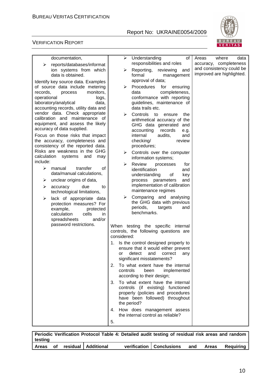

#### VERIFICATION REPORT

| documentation,                                                                                                                               | ➤                 | Understanding<br>of                                                                                                                            | Areas<br>where<br>data                             |
|----------------------------------------------------------------------------------------------------------------------------------------------|-------------------|------------------------------------------------------------------------------------------------------------------------------------------------|----------------------------------------------------|
| reports/databases/informat<br>⋗<br>ion systems from which                                                                                    | ➤                 | responsibilities and roles<br>Reporting,<br>reviewing<br>and                                                                                   | accuracy, completeness<br>and consistency could be |
| data is obtained.<br>Identify key source data. Examples<br>of source data include metering                                                   | ➤                 | formal<br>management<br>approval of data;<br>Procedures<br>for<br>ensuring                                                                     | improved are highlighted.                          |
| monitors,<br>records,<br>process<br>operational<br>logs,<br>laboratory/analytical<br>data,                                                   |                   | completeness,<br>data<br>conformance with reporting<br>guidelines, maintenance of                                                              |                                                    |
| accounting records, utility data and<br>vendor data. Check appropriate<br>calibration and maintenance of<br>equipment, and assess the likely | ⋗                 | data trails etc.<br>Controls<br>to<br>the<br>ensure<br>arithmetical accuracy of the                                                            |                                                    |
| accuracy of data supplied.                                                                                                                   |                   | GHG data generated and<br>accounting<br>records<br>e.g.                                                                                        |                                                    |
| Focus on those risks that impact<br>the accuracy, completeness and<br>consistency of the reported data.                                      |                   | internal<br>audits,<br>and<br>checking/<br>review<br>procedures;                                                                               |                                                    |
| Risks are weakness in the GHG<br>calculation<br>systems<br>and<br>may<br>include:                                                            | ➤                 | Controls over the computer<br>information systems;                                                                                             |                                                    |
| ⋗<br>manual<br>transfer<br>οf<br>data/manual calculations,                                                                                   | ➤                 | Review<br>processes<br>for<br>identification<br>and<br>understanding<br>of                                                                     |                                                    |
| unclear origins of data,<br>➤                                                                                                                |                   | key<br>process parameters<br>and                                                                                                               |                                                    |
| due<br>➤<br>accuracy<br>to<br>technological limitations,                                                                                     |                   | implementation of calibration<br>maintenance regimes                                                                                           |                                                    |
| lack of appropriate data<br>➤<br>protection measures? For<br>example,<br>protected<br>calculation<br>cells<br>in.<br>spreadsheets<br>and/or  | ≻                 | Comparing and analysing<br>the GHG data with previous<br>periods,<br>targets<br>and<br>benchmarks.                                             |                                                    |
| password restrictions.                                                                                                                       | considered:       | When testing the specific internal<br>controls, the following questions are                                                                    |                                                    |
|                                                                                                                                              | or                | 1. Is the control designed properly to<br>ensure that it would either prevent<br>detect<br>and<br>correct<br>any<br>significant misstatements? |                                                    |
|                                                                                                                                              | controls          | 2. To what extent have the internal<br>been<br>implemented<br>according to their design;                                                       |                                                    |
|                                                                                                                                              | 3.<br>the period? | To what extent have the internal<br>controls (if existing) functioned<br>properly (policies and procedures<br>have been followed) throughout   |                                                    |
|                                                                                                                                              |                   | 4. How does management assess<br>the internal control as reliable?                                                                             |                                                    |
|                                                                                                                                              | 5.                |                                                                                                                                                |                                                    |

**Periodic Verification Protocol Table 4: Detailed audit testing of residual risk areas and random testing Areas of residual Additional verification Conclusions and Areas Requiring**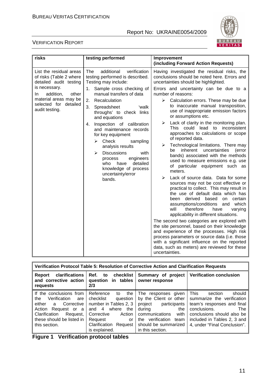

#### VERIFICATION REPORT

| risks                                                                        | testing performed                                                                                                                       | Improvement<br>(including Forward Action Requests)                                                                                                                                                                                                                                                                                     |
|------------------------------------------------------------------------------|-----------------------------------------------------------------------------------------------------------------------------------------|----------------------------------------------------------------------------------------------------------------------------------------------------------------------------------------------------------------------------------------------------------------------------------------------------------------------------------------|
| List the residual areas<br>of risks (Table 2 where<br>detailed audit testing | The<br>additional<br>verification<br>testing performed is described.<br>Testing may include:                                            | Having investigated the residual risks, the<br>conclusions should be noted here. Errors and<br>uncertainties should be highlighted.                                                                                                                                                                                                    |
| is necessary.<br>addition,<br>other<br>In.                                   | Sample cross checking of<br>1.<br>manual transfers of data                                                                              | Errors and uncertainty can be due to a<br>number of reasons:                                                                                                                                                                                                                                                                           |
| material areas may be<br>selected for detailed<br>audit testing.             | Recalculation<br>2.<br>3.<br>Spreadsheet<br>'walk<br>throughs' to check links<br>and equations                                          | ➤<br>Calculation errors. These may be due<br>to inaccurate manual transposition,<br>use of inappropriate emission factors<br>or assumptions etc.                                                                                                                                                                                       |
|                                                                              | Inspection of calibration<br>4.<br>and maintenance records<br>for key equipment<br>Check<br>➤<br>sampling                               | Lack of clarity in the monitoring plan.<br>➤<br>This could lead to<br>inconsistent<br>approaches to calculations or scope<br>of reported data.                                                                                                                                                                                         |
| ➤<br>who                                                                     | analysis results<br><b>Discussions</b><br>with<br>engineers<br>process<br>detailed<br>have<br>knowledge of process<br>uncertainty/error | $\blacktriangleright$<br>Technological limitations. There may<br>inherent uncertainties<br>be<br>(error<br>bands) associated with the methods<br>used to measure emissions e.g. use<br>of particular equipment such as<br>meters.                                                                                                      |
|                                                                              | bands.                                                                                                                                  | ➤<br>Lack of source data. Data for some<br>sources may not be cost effective or<br>practical to collect. This may result in<br>the use of default data which has<br>been derived<br>based<br>certain<br>on<br>assumptions/conditions<br>which<br>and<br>will<br>therefore<br>have<br>varying<br>applicability in different situations. |
|                                                                              |                                                                                                                                         | The second two categories are explored with<br>the site personnel, based on their knowledge<br>and experience of the processes. High risk<br>process parameters or source data (i.e. those<br>with a significant influence on the reported<br>data, such as meters) are reviewed for these<br>uncertainties.                           |

| Verification Protocol Table 5: Resolution of Corrective Action and Clarification Requests                                                                                               |                                                                                                                                                                                         |                                                                                                                                                                                             |                                                                                                                                                                                                                  |  |
|-----------------------------------------------------------------------------------------------------------------------------------------------------------------------------------------|-----------------------------------------------------------------------------------------------------------------------------------------------------------------------------------------|---------------------------------------------------------------------------------------------------------------------------------------------------------------------------------------------|------------------------------------------------------------------------------------------------------------------------------------------------------------------------------------------------------------------|--|
| <b>clarifications</b><br>Report<br>and corrective action<br>requests                                                                                                                    | Ref. to checklist<br>question in tables<br>2/3                                                                                                                                          | Summary of project<br>owner response                                                                                                                                                        | <b>Verification conclusion</b>                                                                                                                                                                                   |  |
| If the conclusions from<br>Verification<br>the<br>are<br>either<br>Corrective<br>a<br>Action<br>Request or a<br>Clarification<br>Request,<br>these should be listed in<br>this section. | Reference<br>the<br>to<br>checklist<br>question<br>number in Tables 2, 3<br>where<br>and 4<br>the<br>Corrective<br>Action<br>Request<br>or<br>Clarification<br>Request<br>is explained. | The responses given<br>by the Client or other<br>project participants<br>during<br>the<br>with<br>communications<br>verification<br>team<br>the<br>should be summarized<br>in this section. | <b>This</b><br>should<br>section<br>summarize the verification<br>team's responses and final<br>conclusions.<br>The<br>conclusions should also be<br>included in Tables 2, 3 and<br>4, under "Final Conclusion". |  |

**Figure 1 Verification protocol tables**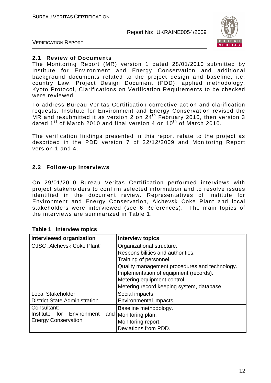

VERIFICATION REPORT

#### **2.1 Review of Documents**

The Monitoring Report (MR) version 1 dated 28/01/2010 submitted by Institute for Environment and Energy Conservation and additional background documents related to the project design and baseline, i.e. country Law, Project Design Document (PDD), applied methodology, Kyoto Protocol, Clarifications on Verification Requirements to be checked were reviewed.

To address Bureau Veritas Certification corrective action and clarification requests, Institute for Environment and Energy Conservation revised the MR and resubmitted it as version 2 on 24<sup>th</sup> February 2010, then version 3 dated  $1^{\text{st}}$  of March 2010 and final version 4 on  $10^{\text{th}}$  of March 2010.

The verification findings presented in this report relate to the project as described in the PDD version 7 of 22/12/2009 and Monitoring Report version 1 and 4.

#### **2.2 Follow-up Interviews**

On 29/01/2010 Bureau Veritas Certification performed interviews with project stakeholders to confirm selected information and to resolve issues identified in the document review. Representatives of Institute for Environment and Energy Conservation, Alchevsk Coke Plant and local stakeholders were interviewed (see 6 References). The main topics of the interviews are summarized in Table 1.

| <b>Interviewed organization</b>      | <b>Interview topics</b>                       |
|--------------------------------------|-----------------------------------------------|
| OJSC "Alchevsk Coke Plant"           | Organizational structure.                     |
|                                      | Responsibilities and authorities.             |
|                                      | Training of personnel.                        |
|                                      | Quality management procedures and technology. |
|                                      | Implementation of equipment (records).        |
|                                      | Metering equipment control.                   |
|                                      | Metering record keeping system, database.     |
| Local Stakeholder:                   | Social impacts.                               |
| <b>District State Administration</b> | Environmental impacts.                        |
| Consultant:                          | Baseline methodology.                         |
| for<br>Environment<br>Institute      | and   Monitoring plan.                        |
| <b>Energy Conservation</b>           | Monitoring report.                            |
|                                      | Deviations from PDD.                          |

#### **Table 1 Interview topics**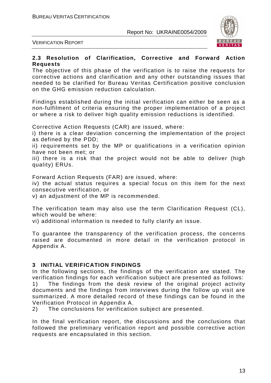

VERIFICATION REPORT

#### **2.3 Resolution of Clarification, Corrective and Forward Action Requests**

The objective of this phase of the verification is to raise the requests for corrective actions and clarification and any other outstanding issues that needed to be clarified for Bureau Veritas Certification positive conclusion on the GHG emission reduction calculation.

Findings established during the initial verification can either be seen as a non-fulfilment of criteria ensuring the proper implementation of a project or where a risk to deliver high quality emission reductions is identified.

Corrective Action Requests (CAR) are issued, where:

i) there is a clear deviation concerning the implementation of the project as defined by the PDD;

ii) requirements set by the MP or qualifications in a verification opinion have not been met; or

iii) there is a risk that the project would not be able to deliver (high quality) ERUs.

Forward Action Requests (FAR) are issued, where:

iv) the actual status requires a special focus on this item for the next consecutive verification, or

v) an adjustment of the MP is recommended.

The verification team may also use the term Clarification Request (CL), which would be where:

vi) additional information is needed to fully clarify an issue.

To guarantee the transparency of the verification process, the concerns raised are documented in more detail in the verification protocol in Appendix A.

#### **3 INITIAL VERIFICATION FINDINGS**

In the following sections, the findings of the verification are stated. The verification findings for each verification subject are presented as follows: 1) The findings from the desk review of the original project activity documents and the findings from interviews during the follow up visit are summarized. A more detailed record of these findings can be found in the Verification Protocol in Appendix A.

2) The conclusions for verification subject are presented.

In the final verification report, the discussions and the conclusions that followed the preliminary verification report and possible corrective action requests are encapsulated in this section.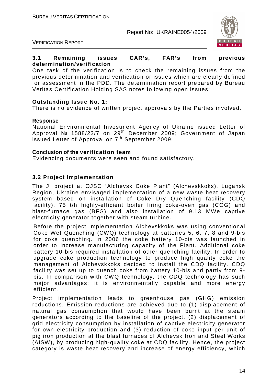

VERIFICATION REPORT

#### **3.1 Remaining issues CAR's, FAR's from previous determination/verification**

One task of the verification is to check the remaining issues from the previous determination and verification or issues which are clearly defined for assessment in the PDD. The determination report prepared by Bureau Veritas Certification Holding SAS notes following open issues:

#### **Outstanding Issue No. 1:**

There is no evidence of written project approvals by the Parties involved.

#### **Response**

National Environmental Investment Agency of Ukraine issued Letter of Approval № 1588/23/7 on 29th December 2009; Government of Japan issued Letter of Approval on 7<sup>th</sup> September 2009.

#### **Conclusion of the verification team**

Evidencing documents were seen and found satisfactory.

#### **3.2 Project Implementation**

The JI project at OJSC "Alchevsk Coke Plant" (Alchevskkoks), Lugansk Region, Ukraine envisaged implementation of a new waste heat recovery system based on installation of Coke Dry Quenching facility (CDQ facility), 75 t/h highly-efficient boiler firing coke-oven gas (COG) and blast-furnace gas (BFG) and also installation of 9.13 MWe captive electricity generator together with steam turbine.

Before the project implementation Alchevskkoks was using conventional Coke Wet Quenching (CWQ) technology at batteries 5, 6, 7, 8 and 9-bis for coke quenching. In 2006 the coke battery 10-bis was launched in order to increase manufacturing capacity of the Plant. Additional coke battery 10-bis required installation of other quenching facility. In order to upgrade coke production technology to produce high quality coke the management of Alchevskkoks decided to install the CDQ facility. CDQ facility was set up to quench coke from battery 10-bis and partly from 9 bis. In comparison with CWQ technology, the CDQ technology has such major advantages: it is environmentally capable and more energy efficient.

Project implementation leads to greenhouse gas (GHG) emission reductions. Emission reductions are achieved due to (1) displacement of natural gas consumption that would have been burnt at the steam generators according to the baseline of the project, (2) displacement of grid electricity consumption by installation of captive electricity generator for own electricity production and (3) reduction of coke input per unit of pig iron production at the blast furnaces of Alchevsk Iron and Steel Works (AISW), by producing high-quality coke at CDQ facility. Hence, the project category is waste heat recovery and increase of energy efficiency, which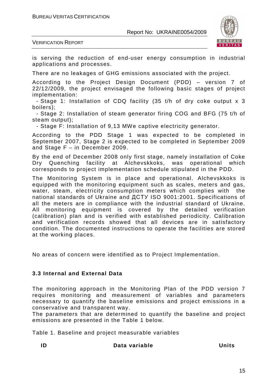

VERIFICATION REPORT

is serving the reduction of end-user energy consumption in industrial applications and processes.

There are no leakages of GHG emissions associated with the project.

According to the Project Design Document (PDD) – version 7 of 22/12/2009, the project envisaged the following basic stages of project implementation:

- Stage 1: Installation of CDQ facility (35 t/h of dry coke output x 3 boilers);

- Stage 2: Installation of steam generator firing COG and BFG (75 t/h of steam output);

- Stage F: Installation of 9,13 MWe captive electricity generator.

According to the PDD Stage 1 was expected to be completed in September 2007, Stage 2 is expected to be completed in September 2009 and Stage F – in December 2009.

By the end of December 2008 only first stage, namely installation of Coke Dry Quenching facility at Alchevskkoks, was operational which corresponds to project implementation schedule stipulated in the PDD.

The Monitoring System is in place and operational. Alchevskkoks is equipped with the monitoring equipment such as scales, meters and gas, water, steam, electricity consumption meters which complies with the national standards of Ukraine and ДСТУ ISO 9001:2001. Specifications of all the meters are in compliance with the industrial standard of Ukraine. All monitoring equipment is covered by the detailed verification (calibration) plan and is verified with established periodicity. Calibration and verification records showed that all devices are in satisfactory condition. The documented instructions to operate the facilities are stored at the working places.

No areas of concern were identified as to Project Implementation.

#### **3.3 Internal and External Data**

The monitoring approach in the Monitoring Plan of the PDD version 7 requires monitoring and measurement of variables and parameters necessary to quantify the baseline emissions and project emissions in a conservative and transparent way.

The parameters that are determined to quantify the baseline and project emissions are presented in the Table 1 below.

Table 1. Baseline and project measurable variables

**ID Data variable Units**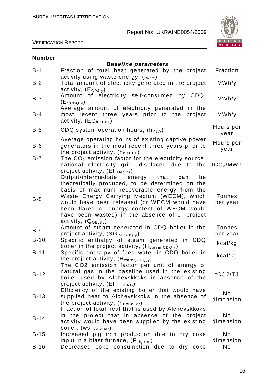

#### VERIFICATION REPORT

| <b>Number</b> |                                                                                                                                                                                                                                                                                                                                                                           |                           |
|---------------|---------------------------------------------------------------------------------------------------------------------------------------------------------------------------------------------------------------------------------------------------------------------------------------------------------------------------------------------------------------------------|---------------------------|
| $B-1$         | <b>Baseline parameters</b><br>Fraction of total heat generated by the project                                                                                                                                                                                                                                                                                             | Fraction                  |
| $B-2$         | activity using waste energy, $(f_{wcm})$<br>Total amount of electricity generated in the project<br>activity, $(E_{GPJ,V})$                                                                                                                                                                                                                                               | MWh/y                     |
| $B-3$         | Amount of electricity self-consumed by CDQ,<br>$(Ec_{COQ,V})$                                                                                                                                                                                                                                                                                                             | MWh/y                     |
| $B-4$         | Average amount of electricity generated in the<br>years prior to the<br>most recent three<br>project<br>activity, $(EG_{hist,BL})$                                                                                                                                                                                                                                        | MWh/y                     |
| $B-5$         | CDQ system operation hours, $(h_{PJ,V})$                                                                                                                                                                                                                                                                                                                                  | Hours per<br>year         |
| $B-6$         | Average operating hours of existing captive power<br>generators in the most recent three years prior to<br>the project activity, (hhist, BL)                                                                                                                                                                                                                              | Hours per<br>year         |
| $B-7$         | The $CO2$ emission factor for the electricity source,<br>national electricity grid, displaced due to the<br>project activity, $(EF_{elec,qr})$                                                                                                                                                                                                                            | tCO <sub>2</sub> /MWh     |
| $B-8$         | Output/intermediate energy that<br>be<br>can<br>theoretically produced, to be determined on the<br>basis of maximum recoverable energy from the<br>Waste Energy Carrying Medium (WECM), which<br>would have been released (or WECM would have<br>been flared or energy content of WECM would<br>have been wasted) in the absence of JI project<br>activity, $(Q_{OE.BL})$ | <b>Tonnes</b><br>per year |
| $B-9$         | Amount of steam generated in CDQ boiler in the                                                                                                                                                                                                                                                                                                                            | <b>Tonnes</b>             |
| $B-10$        | project activity, $(SG_{PJ,CDQ,y})$<br>Specific enthalpy of steam generated in CDQ                                                                                                                                                                                                                                                                                        | per year<br>kcal/kg       |
| $B-11$        | boiler in the project activity, (H <sub>steam,CDQ,y</sub> )<br>Specific enthalpy of feed water in CDQ boiler in<br>the project activity, $(H_{water, CDQ, y})$                                                                                                                                                                                                            | kcal/kg                   |
| $B-12$        | The CO2 emission factor per unit of energy of<br>natural gas in the baseline used in the existing<br>boiler used by Alchevskkoks in absence of the<br>project activity, $(EF_{CO2,NG})$                                                                                                                                                                                   | tCO2/TJ                   |
| $B-13$        | Efficiency of the existing boiler that would have<br>supplied heat to Alchevskkoks in the absence of<br>the project activity, $(h_{ExBoiler})$                                                                                                                                                                                                                            | No<br>dimension           |
| $B-14$        | Fraction of total heat that is used by Alchevskkoks<br>in the project that in absence of the project<br>activity would have been supplied by the existing<br>boiler, (WS <sub>Ex-Boiler</sub> )                                                                                                                                                                           | <b>No</b><br>dimension    |
| $B-15$        | Increased pig iron production due to dry coke                                                                                                                                                                                                                                                                                                                             | N <sub>o</sub>            |
| $B-16$        | input in a blast furnace, $(F_{\text{pigiron}})$<br>Decreased coke consumption due to dry coke                                                                                                                                                                                                                                                                            | dimension<br>No.          |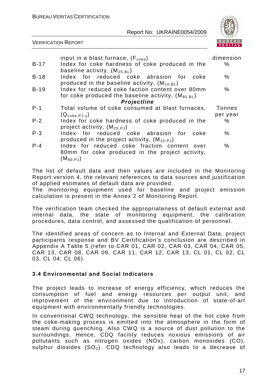

#### VERIFICATION REPORT

|         |                                                                                                                                  | dimension     |
|---------|----------------------------------------------------------------------------------------------------------------------------------|---------------|
|         | input in a blast furnace, $(F_{\text{code}})$                                                                                    |               |
| B-17    | Index for coke hardness of coke produced in the<br>baseline activity, $(M_{25.BL})$                                              | ℅             |
| $B-18$  | Index for reduced coke abrasion for<br>coke<br>produced in the baseline activity, $(M_{10.BL})$                                  | $\%$          |
| $B-19$  | Index for reduced coke faction content over 80mm<br>for coke produced the baseline activity, $(M_{80.BL})$                       | $\%$          |
|         | Projectline                                                                                                                      |               |
| $P - 1$ | Total volume of coke consumed at blast furnaces,                                                                                 | <b>Tonnes</b> |
|         | $(Q_{\text{coke},\text{PJ},\text{V}})$                                                                                           | per year      |
| $P - 2$ | Index for coke hardness of coke produced in the<br>project activity, $(M_{25.PJ})$                                               | %             |
| $P - 3$ | Index for reduced coke abrasion for<br>coke<br>produced in the project activity, $(M_{10.PJ})$                                   | $\%$          |
| $P - 4$ | Index for reduced coke fraction content over<br>80mm for coke produced in the project activity,<br>$(\mathsf{M}_{\text{80,PJ}})$ | $\%$          |

The list of default data and their values are included in the Monitoring Report version 4, the relevant references to data sources and justification of applied estimates of default data are provided.

The monitoring equipment used for baseline and project emission calculation is present in the Annex 2 of Monitoring Report.

The verification team checked the appropriateness of default external and internal data, the state of monitoring equipment, the calibration procedures, data control, and assessed the qualification of personnel.

The identified areas of concern as to Internal and External Data, project participants response and BV Certification's conclusion are described in Appendix A Table 5 (refer to CAR 01, CAR 02, CAR 03, CAR 04, CAR 05, CAR 13, CAR 08, CAR 09, CAR 11, CAR 12, CAR 13, CL 01, CL 02, CL 03, CL 04, CL 06).

#### **3.4 Environmental and Social Indicators**

The project leads to increase of energy efficiency, which reduces the consumption of fuel and energy resources per output unit, and improvement of the environment due to introduction of state-of-art equipment with environmentally friendly technologies.

In conventional CWQ technology, the sensible heat of the hot coke from the coke-making process is emitted into the atmosphere in the form of steam during quenching. Also CWQ is a source of dust pollution to the surroundings. Hence, CDQ facility reduces noxious emissions of air pollutants such as nitrogen oxides (NOx), carbon monoxides (CO), sulphur dioxides  $(SO_2)$ . CDQ technology also leads to a decrease of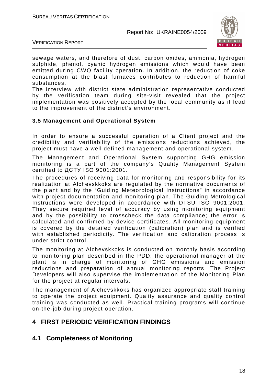

VERIFICATION REPORT

sewage waters, and therefore of dust, carbon oxides, ammonia, hydrogen sulphide, phenol, cyanic hydrogen emissions which would have been emitted during CWQ facility operation. In addition, the reduction of coke consumption at the blast furnaces contributes to reduction of harmful substances.

The interview with district state administration representative conducted by the verification team during site-visit revealed that the project implementation was positively accepted by the local community as it lead to the improvement of the district's environment.

#### **3.5 Management and Operational System**

In order to ensure a successful operation of a Client project and the credibility and verifiability of the emissions reductions achieved, the project must have a well defined management and operational system.

The Management and Operational System supporting GHG emission monitoring is a part of the company's Quality Management System certified to ДСТУ ISO 9001:2001.

The procedures of receiving data for monitoring and responsibility for its realization at Alchevskkoks are regulated by the normative documents of the plant and by the "Guiding Meteorological Instructions" in accordance with project documentation and monitoring plan. The Guiding Metrological Instructions were developed in accordance with DTSU ISO 9001:2001. They secure required level of accuracy by using monitoring equipment and by the possibility to crosscheck the data compliance; the error is calculated and confirmed by device certificates. All monitoring equipment is covered by the detailed verification (calibration) plan and is verified with established periodicity. The verification and calibration process is under strict control.

The monitoring at Alchevskkoks is conducted on monthly basis according to monitoring plan described in the PDD; the operational manager at the plant is in charge of monitoring of GHG emissions and emission reductions and preparation of annual monitoring reports. The Project Developers will also supervise the implementation of the Monitoring Plan for the project at regular intervals.

The management of Alchevskkoks has organized appropriate staff training to operate the project equipment. Quality assurance and quality control training was conducted as well. Practical training programs will continue on-the-job during project operation.

# **4 FIRST PERIODIC VERIFICATION FINDINGS**

# **4.1 Completeness of Monitoring**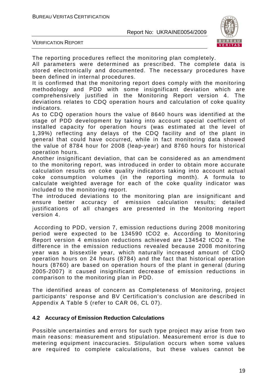

VERIFICATION REPORT

The reporting procedures reflect the monitoring plan completely.

All parameters were determined as prescribed. The complete data is stored electronically and documented. The necessary procedures have been defined in internal procedures.

It is confirmed that the monitoring report does comply with the monitoring methodology and PDD with some insignificant deviation which are comprehensively justified in the Monitoring Report version 4. The deviations relates to CDQ operation hours and calculation of coke quality indicators.

As to CDQ operation hours the value of 8640 hours was identified at the stage of PDD development by taking into account special coefficient of installed capacity for operation hours (was estimated at the level of 1,39%) reflecting any delays of the CDQ facility and of the plant in general that could have occurred, while in fact monitoring data showed the value of 8784 hour for 2008 (leap-year) and 8760 hours for historical operation hours.

Another insignificant deviation, that can be considered as an amendment to the monitoring report, was introduced in order to obtain more accurate calculation results on coke quality indicators taking into account actual coke consumption volumes (in the reporting month). A formula to calculate weighted average for each of the coke quality indicator was included to the monitoring report.

The introduced deviations to the monitoring plan are insignificant and ensure better accuracy of emission calculation results; detailed justifications of all changes are presented in the Monitoring report version 4.

 According to PDD, version 7, emission reductions during 2008 monitoring period were expected to be 134590 tCO2 e. According to Monitoring Report version 4 emission reductions achieved are 134542 tCO2 e. The difference in the emission reductions revealed because 2008 monitoring year was a bissextile year, which naturally increased amount of CDQ operation hours on 24 hours (8784) and the fact that historical operation hours (8760) are based on operation hours of the plant in general (during 2005-2007) it caused insignificant decrease of emission reductions in comparison to the monitoring plan in PDD.

The identified areas of concern as Completeness of Monitoring, project participants' response and BV Certification's conclusion are described in Appendix A Table 5 (refer to CAR 06, CL 07).

#### **4.2 Accuracy of Emission Reduction Calculations**

Possible uncertainties and errors for such type project may arise from two main reasons: measurement and stipulation. Measurement error is due to metering equipment inaccuracies. Stipulation occurs when some values are required to complete calculations, but these values cannot be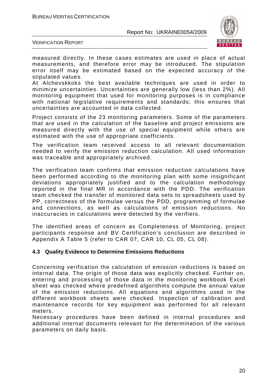

VERIFICATION REPORT

measured directly. In these cases estimates are used in place of actual measurements, and therefore error may be introduced. The stipulation error itself may be estimated based on the expected accuracy of the stipulated values.

At Alchevskkoks the best available techniques are used in order to minimize uncertainties. Uncertainties are generally low (less than 2%). All monitoring equipment that used for monitoring purposes is in compliance with national legislative requirements and standards; this ensures that uncertainties are accounted in data collected.

Project consists of the 23 monitoring parameters. Some of the parameters that are used in the calculation of the baseline and project emissions are measured directly with the use of special equipment while others are estimated with the use of appropriate coefficients.

The verification team received access to all relevant documentation needed to verify the emission reduction calculation. All used information was traceable and appropriately archived.

The verification team confirms that emission reduction calculations have been performed according to the monitoring plan with some insignificant deviations appropriately justified and to the calculation methodology reported in the final MR in accordance with the PDD. The verification team checked the transfer of monitored data sets to spreadsheets used by PP, correctness of the formulae versus the PDD, programming of formulae and connections, as well as calculations of emission reductions. No inaccuracies in calculations were detected by the verifiers.

The identified areas of concern as Completeness of Monitoring, project participants response and BV Certification's conclusion are described in Appendix A Table 5 (refer to CAR 07, CAR 10, CL 05, CL 08).

#### **4.3 Quality Evidence to Determine Emissions Reductions**

Concerning verification the calculation of emission reductions is based on internal data. The origin of those data was explicitly checked. Further on, entering and processing of those data in the monitoring workbook Excel sheet was checked where predefined algorithms compute the annual value of the emission reductions. All equations and algorithms used in the different workbook sheets were checked. Inspection of calibration and maintenance records for key equipment was performed for all relevant meters.

Necessary procedures have been defined in internal procedures and additional internal documents relevant for the determination of the various parameters on daily basis.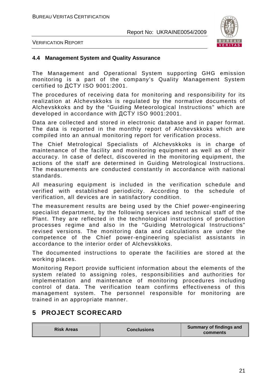

VERIFICATION REPORT

#### **4.4 Management System and Quality Assurance**

The Management and Operational System supporting GHG emission monitoring is a part of the company's Quality Management System certified to ДСТУ ISO 9001:2001.

The procedures of receiving data for monitoring and responsibility for its realization at Alchevskkoks is regulated by the normative documents of Alchevskkoks and by the "Guiding Meteorological Instructions" which are developed in accordance with ДСТУ ISO 9001:2001.

Data are collected and stored in electronic database and in paper format. The data is reported in the monthly report of Alchevskkoks which are compiled into an annual monitoring report for verification process.

The Chief Metrological Specialists of Alchevskkoks is in charge of maintenance of the facility and monitoring equipment as well as of their accuracy. In case of defect, discovered in the monitoring equipment, the actions of the staff are determined in Guiding Metrological Instructions. The measurements are conducted constantly in accordance with national standards.

All measuring equipment is included in the verification schedule and verified with established periodicity. According to the schedule of verification, all devices are in satisfactory condition.

The measurement results are being used by the Chief power-engineering specialist department, by the following services and technical staff of the Plant. They are reflected in the technological instructions of production processes regime and also in the "Guiding Metrological Instructions" revised versions. The monitoring data and calculations are under the competence of the Chief power-engineering specialist assistants in accordance to the interior order of Alchevskkoks.

The documented instructions to operate the facilities are stored at the working places.

Monitoring Report provide sufficient information about the elements of the system related to assigning roles, responsibilities and authorities for implementation and maintenance of monitoring procedures including control of data. The verification team confirms effectiveness of this management system. The personnel responsible for monitoring are trained in an appropriate manner.

# **5 PROJECT SCORECARD**

| <b>Risk Areas</b> | <b>Conclusions</b> | <b>Summary of findings and</b><br>comments |
|-------------------|--------------------|--------------------------------------------|
|-------------------|--------------------|--------------------------------------------|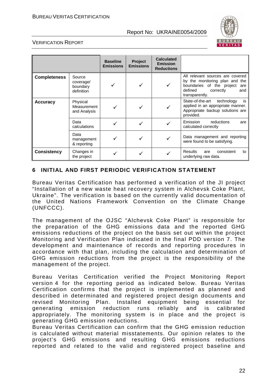

#### VERIFICATION REPORT

|                     |                                               | <b>Baseline</b><br><b>Emissions</b> | Project<br><b>Emissions</b> | <b>Calculated</b><br><b>Emission</b><br><b>Reductions</b> |                                                                                                                                                         |
|---------------------|-----------------------------------------------|-------------------------------------|-----------------------------|-----------------------------------------------------------|---------------------------------------------------------------------------------------------------------------------------------------------------------|
| <b>Completeness</b> | Source<br>coverage/<br>boundary<br>definition |                                     |                             |                                                           | All relevant sources are covered<br>by the monitoring plan and the<br>boundaries of the project<br>are<br>defined<br>correctly<br>and<br>transparently. |
| <b>Accuracy</b>     | Physical<br>Measurement<br>and Analysis       |                                     |                             |                                                           | State-of-the-art<br>technology<br>is<br>applied in an appropriate manner.<br>Appropriate backup solutions are<br>provided.                              |
|                     | Data<br>calculations                          |                                     |                             |                                                           | Emission<br>reductions<br>are<br>calculated correctly                                                                                                   |
|                     | Data<br>management<br>& reporting             |                                     |                             |                                                           | Data management and reporting<br>were found to be satisfying.                                                                                           |
| <b>Consistency</b>  | Changes in<br>the project                     |                                     |                             |                                                           | <b>Results</b><br>consistent<br>are<br>to<br>underlying raw data.                                                                                       |

#### **6 INITIAL AND FIRST PERIODIC VERIFICATION STATEMENT**

Bureau Veritas Certification has performed a verification of the JI project "Installation of a new waste heat recovery system in Alchevsk Coke Plant, Ukraine". The verification is based on the currently valid documentation of the United Nations Framework Convention on the Climate Change (UNFCCC).

The management of the OJSC "Alchevsk Coke Plant" is responsible for the preparation of the GHG emissions data and the reported GHG emissions reductions of the project on the basis set out within the project Monitoring and Verification Plan indicated in the final PDD version 7. The development and maintenance of records and reporting procedures in accordance with that plan, including the calculation and determination of GHG emission reductions from the project is the responsibility of the management of the project.

Bureau Veritas Certification verified the Project Monitoring Report version 4 for the reporting period as indicated below. Bureau Veritas Certification confirms that the project is implemented as planned and described in determinated and registered project design documents and revised Monitoring Plan. Installed equipment being essential for generating emission reduction runs reliably and is calibrated appropriately. The monitoring system is in place and the project is generating GHG emission reductions.

Bureau Veritas Certification can confirm that the GHG emission reduction is calculated without material misstatements. Our opinion relates to the project's GHG emissions and resulting GHG emissions reductions reported and related to the valid and registered project baseline and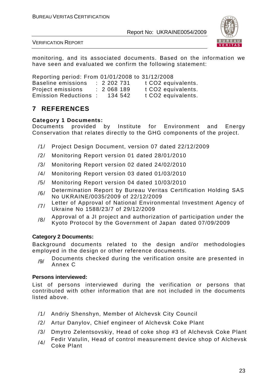

VERIFICATION REPORT

monitoring, and its associated documents. Based on the information we have seen and evaluated we confirm the following statement:

Reporting period: From 01/01/2008 to 31/12/2008 Baseline emissions : 2 202 731 t CO2 equivalents. Project emissions : 2 068 189 t CO2 equivalents. Emission Reductions : 134 542 t CO2 equivalents.

# **7 REFERENCES**

#### **Category 1 Documents:**

Documents provided by Institute for Environment and Energy Conservation that relates directly to the GHG components of the project.

- /1/ Project Design Document, version 07 dated 22/12/2009
- /2/ Monitoring Report version 01 dated 28/01/2010
- /3/ Monitoring Report version 02 dated 24/02/2010
- /4/ Monitoring Report version 03 dated 01/03/2010
- /5/ Monitoring Report version 04 dated 10/03/2010
- /6/ Determination Report by Bureau Veritas Certification Holding SAS No UKRAINE/0035/2009 of 22/12/2009
- /7/ Letter of Approval of National Environmental Investment Agency of Ukraine No 1588/23/7 of 29/12/2009
- /8/ Approval of a JI project and authorization of participation under the Kyoto Protocol by the Government of Japan dated 07/09/2009

### **Category 2 Documents:**

Background documents related to the design and/or methodologies employed in the design or other reference documents.

/9/ Documents checked during the verification onsite are presented in Annex C

#### **Persons interviewed:**

List of persons interviewed during the verification or persons that contributed with other information that are not included in the documents listed above.

- /1/ Andriy Shenshyn, Member of Alchevsk City Council
- /2/ Artur Danylov, Chief engineer of Alchevsk Coke Plant
- /3/ Dmytro Zelentsovskiy, Head of coke shop #3 of Alchevsk Coke Plant
- $/4/$  Fedir Vatulin, Head of control measurement device shop of Alchevsk Coke Plant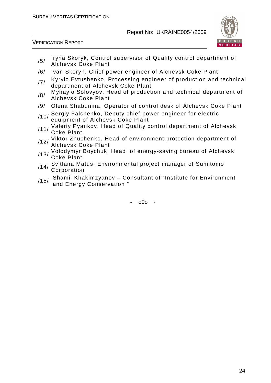

VERIFICATION REPORT

- /5/ Iryna Skoryk, Control supervisor of Quality control department of Alchevsk Coke Plant
- /6/ Ivan Skoryh, Chief power engineer of Alchevsk Coke Plant
- /7/ Kyrylo Evtushenko, Processing engineer of production and technical department of Alchevsk Coke Plant
- /8/ Myhaylo Solovyov, Head of production and technical department of Alchevsk Coke Plant
- /9/ Olena Shabunina, Operator of control desk of Alchevsk Coke Plant
- /10/ Sergiy Falchenko, Deputy chief power engineer for electric equipment of Alchevsk Coke Plant
- /11/ Valeriy Pyankov, Head of Quality control department of Alchevsk Coke Plant
- /12/ Viktor Zhuchenko, Head of environment protection department of Alchevsk Coke Plant
- /13/ Volodymyr Boychuk, Head of energy-saving bureau of Alchevsk Coke Plant
- /14/ Svitlana Matus, Environmental project manager of Sumitomo **Corporation**
- /15/ Shamil Khakimzyanov Consultant of "Institute for Environment and Energy Conservation "

 $-$  000  $-$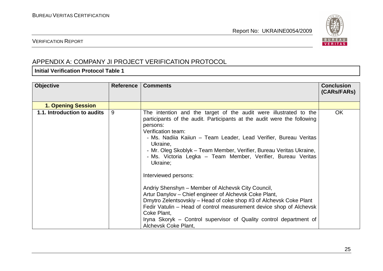

### VERIFICATION REPORT

# APPENDIX A: COMPANY JI PROJECT VERIFICATION PROTOCOL

### **Initial Verification Protocol Table 1**

| <b>Objective</b>            | <b>Reference</b> | <b>Comments</b>                                                                                                                                                                                                                                                                                                                                                                                                                                                                                                                                                                                                                                                                                                                                                                                                     | <b>Conclusion</b><br>(CARS/FARS) |
|-----------------------------|------------------|---------------------------------------------------------------------------------------------------------------------------------------------------------------------------------------------------------------------------------------------------------------------------------------------------------------------------------------------------------------------------------------------------------------------------------------------------------------------------------------------------------------------------------------------------------------------------------------------------------------------------------------------------------------------------------------------------------------------------------------------------------------------------------------------------------------------|----------------------------------|
| <b>1. Opening Session</b>   |                  |                                                                                                                                                                                                                                                                                                                                                                                                                                                                                                                                                                                                                                                                                                                                                                                                                     |                                  |
| 1.1. Introduction to audits | 9                | The intention and the target of the audit were illustrated to the<br>participants of the audit. Participants at the audit were the following<br>persons:<br>Verification team:<br>- Ms. Nadiia Kaiiun – Team Leader, Lead Verifier, Bureau Veritas<br>Ukraine,<br>- Mr. Oleg Skoblyk - Team Member, Verifier, Bureau Veritas Ukraine,<br>- Ms. Victoria Legka – Team Member, Verifier, Bureau Veritas<br>Ukraine;<br>Interviewed persons:<br>Andriy Shenshyn – Member of Alchevsk City Council,<br>Artur Danylov – Chief engineer of Alchevsk Coke Plant,<br>Dmytro Zelentsovskiy – Head of coke shop #3 of Alchevsk Coke Plant<br>Fedir Vatulin – Head of control measurement device shop of Alchevsk<br>Coke Plant,<br>Iryna Skoryk – Control supervisor of Quality control department of<br>Alchevsk Coke Plant, | <b>OK</b>                        |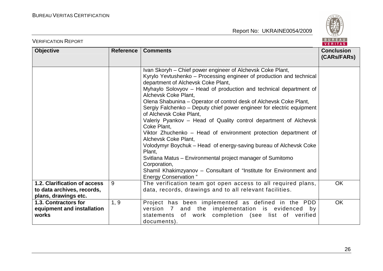

| <b>VERIFICATION REPORT</b>                                                         |           |                                                                                                                                                                                                                                                                                                                                                                                                                                                                                                                                                                                                                                                                                                                                                                                                                                                                                                  | BUREAU<br><b>VERITAS</b>         |
|------------------------------------------------------------------------------------|-----------|--------------------------------------------------------------------------------------------------------------------------------------------------------------------------------------------------------------------------------------------------------------------------------------------------------------------------------------------------------------------------------------------------------------------------------------------------------------------------------------------------------------------------------------------------------------------------------------------------------------------------------------------------------------------------------------------------------------------------------------------------------------------------------------------------------------------------------------------------------------------------------------------------|----------------------------------|
| <b>Objective</b>                                                                   | Reference | <b>Comments</b>                                                                                                                                                                                                                                                                                                                                                                                                                                                                                                                                                                                                                                                                                                                                                                                                                                                                                  | <b>Conclusion</b><br>(CARs/FARs) |
|                                                                                    |           | Ivan Skoryh – Chief power engineer of Alchevsk Coke Plant,<br>Kyrylo Yevtushenko - Processing engineer of production and technical<br>department of Alchevsk Coke Plant,<br>Myhaylo Solovyov - Head of production and technical department of<br>Alchevsk Coke Plant,<br>Olena Shabunina – Operator of control desk of Alchevsk Coke Plant,<br>Sergiy Falchenko – Deputy chief power engineer for electric equipment<br>of Alchevsk Coke Plant,<br>Valeriy Pyankov - Head of Quality control department of Alchevsk<br>Coke Plant,<br>Viktor Zhuchenko – Head of environment protection department of<br>Alchevsk Coke Plant,<br>Volodymyr Boychuk – Head of energy-saving bureau of Alchevsk Coke<br>Plant,<br>Svitlana Matus - Environmental project manager of Sumitomo<br>Corporation,<br>Shamil Khakimzyanov - Consultant of "Institute for Environment and<br><b>Energy Conservation</b> " |                                  |
| 1.2. Clarification of access<br>to data archives, records,<br>plans, drawings etc. | 9         | The verification team got open access to all required plans,<br>data, records, drawings and to all relevant facilities.                                                                                                                                                                                                                                                                                                                                                                                                                                                                                                                                                                                                                                                                                                                                                                          | <b>OK</b>                        |
| 1.3. Contractors for<br>equipment and installation<br>works                        | 1, 9      | Project has been implemented as defined in the PDD<br>version 7 and the implementation is evidenced by<br>statements of work completion (see list of verified<br>documents).                                                                                                                                                                                                                                                                                                                                                                                                                                                                                                                                                                                                                                                                                                                     | OK                               |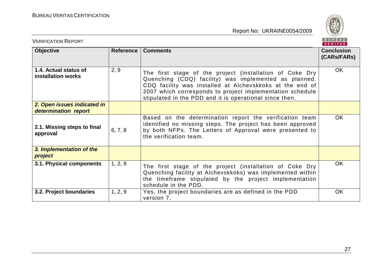

| <b>VERIFICATION REPORT</b>                          |           |                                                                                                                                                                                                                                                                                                       | BUREAU<br><b>VERITAS</b>         |
|-----------------------------------------------------|-----------|-------------------------------------------------------------------------------------------------------------------------------------------------------------------------------------------------------------------------------------------------------------------------------------------------------|----------------------------------|
| <b>Objective</b>                                    | Reference | <b>Comments</b>                                                                                                                                                                                                                                                                                       | <b>Conclusion</b><br>(CARs/FARs) |
| 1.4. Actual status of<br>installation works         | 2, 9      | The first stage of the project (installation of Coke Dry<br>Quenching (CDQ) facility) was implemented as planned.<br>CDQ facility was installed at Alchevskkoks at the end of<br>2007 which corresponds to project implementation schedule<br>stipulated in the PDD and it is operational since then. | <b>OK</b>                        |
| 2. Open issues indicated in<br>determination report |           |                                                                                                                                                                                                                                                                                                       |                                  |
| 2.1. Missing steps to final<br>approval             | 6, 7, 8   | Based on the determination report the verification team<br>identified no missing steps. The project has been approved<br>by both NFPs. The Letters of Approval were presented to<br>the verification team.                                                                                            | <b>OK</b>                        |
| 3. Implementation of the<br>project                 |           |                                                                                                                                                                                                                                                                                                       |                                  |
| 3.1. Physical components                            | 1, 2, 9   | The first stage of the project (installation of Coke Dry<br>Quenching facility at Alchevskkoks) was implemented within<br>the timeframe stipulated by the project implementation<br>schedule in the PDD.                                                                                              | <b>OK</b>                        |
| 3.2. Project boundaries                             | 1, 2, 9   | Yes, the project boundaries are as defined in the PDD<br>version 7.                                                                                                                                                                                                                                   | <b>OK</b>                        |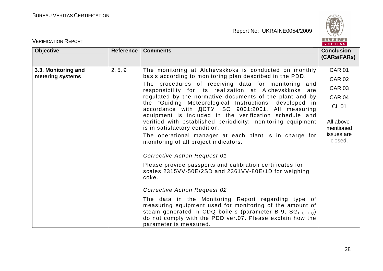

| <b>VERIFICATION REPORT</b>              |           |                                                                                                                                                                                                                                                                                                                                                                                                                                                                                                                                                                                                                                                                                                                                                                                                                                                                                                                                                                                                                                                                                                                                                                                    | BUREAU<br><b>VERITAS</b>                                                                                                                 |
|-----------------------------------------|-----------|------------------------------------------------------------------------------------------------------------------------------------------------------------------------------------------------------------------------------------------------------------------------------------------------------------------------------------------------------------------------------------------------------------------------------------------------------------------------------------------------------------------------------------------------------------------------------------------------------------------------------------------------------------------------------------------------------------------------------------------------------------------------------------------------------------------------------------------------------------------------------------------------------------------------------------------------------------------------------------------------------------------------------------------------------------------------------------------------------------------------------------------------------------------------------------|------------------------------------------------------------------------------------------------------------------------------------------|
| <b>Objective</b>                        | Reference | <b>Comments</b>                                                                                                                                                                                                                                                                                                                                                                                                                                                                                                                                                                                                                                                                                                                                                                                                                                                                                                                                                                                                                                                                                                                                                                    | <b>Conclusion</b><br>(CARs/FARs)                                                                                                         |
| 3.3. Monitoring and<br>metering systems | 2, 5, 9   | The monitoring at Alchevskkoks is conducted on monthly<br>basis according to monitoring plan described in the PDD.<br>The procedures of receiving data for monitoring and<br>responsibility for its realization at Alchevskkoks are<br>regulated by the normative documents of the plant and by<br>the "Guiding Meteorological Instructions" developed in<br>accordance with <b>ACTY ISO 9001:2001</b> . All measuring<br>equipment is included in the verification schedule and<br>verified with established periodicity; monitoring equipment<br>is in satisfactory condition.<br>The operational manager at each plant is in charge for<br>monitoring of all project indicators.<br><b>Corrective Action Request 01</b><br>Please provide passports and calibration certificates for<br>scales 2315VV-50E/2SD and 2361VV-80E/1D for weighing<br>coke.<br><b>Corrective Action Request 02</b><br>The data in the Monitoring Report regarding type of<br>measuring equipment used for monitoring of the amount of<br>steam generated in CDQ boilers (parameter B-9, SG <sub>PJ.CDQ</sub> )<br>do not comply with the PDD ver.07. Please explain how the<br>parameter is measured. | <b>CAR 01</b><br><b>CAR 02</b><br><b>CAR 03</b><br>CAR <sub>04</sub><br><b>CL 01</b><br>All above-<br>mentioned<br>issues are<br>closed. |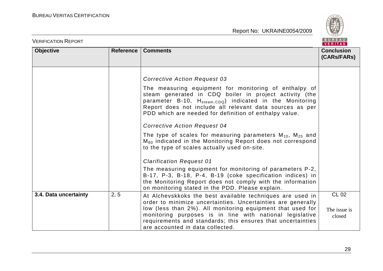

| <b>VERIFICATION REPORT</b> |                  |                                                                                                                                                                                                                                                                                                                                                                                                                                                                                                                                                                                                                                                                                                                                                                                                                          | <b>BUREAU</b><br><b>VERITAS</b>        |
|----------------------------|------------------|--------------------------------------------------------------------------------------------------------------------------------------------------------------------------------------------------------------------------------------------------------------------------------------------------------------------------------------------------------------------------------------------------------------------------------------------------------------------------------------------------------------------------------------------------------------------------------------------------------------------------------------------------------------------------------------------------------------------------------------------------------------------------------------------------------------------------|----------------------------------------|
| <b>Objective</b>           | <b>Reference</b> | <b>Comments</b>                                                                                                                                                                                                                                                                                                                                                                                                                                                                                                                                                                                                                                                                                                                                                                                                          | <b>Conclusion</b><br>(CARs/FARs)       |
|                            |                  | <b>Corrective Action Request 03</b><br>The measuring equipment for monitoring of enthalpy of<br>steam generated in CDQ boiler in project activity (the<br>parameter B-10, H <sub>steam,CDQ</sub> ) indicated in the Monitoring<br>Report does not include all relevant data sources as per<br>PDD which are needed for definition of enthalpy value.<br><b>Corrective Action Request 04</b><br>The type of scales for measuring parameters $M_{10}$ , $M_{25}$ and<br>M <sub>80</sub> indicated in the Monitoring Report does not correspond<br>to the type of scales actually used on-site.<br><b>Clarification Request 01</b><br>The measuring equipment for monitoring of parameters P-2,<br>B-17, P-3, B-18, P-4, B-19 (coke specification indices) in<br>the Monitoring Report does not comply with the information |                                        |
| 3.4. Data uncertainty      | 2, 5             | on monitoring stated in the PDD. Please explain.<br>At Alchevskkoks the best available techniques are used in<br>order to minimize uncertainties. Uncertainties are generally<br>low (less than 2%). All monitoring equipment that used for<br>monitoring purposes is in line with national legislative<br>requirements and standards; this ensures that uncertainties<br>are accounted in data collected.                                                                                                                                                                                                                                                                                                                                                                                                               | <b>CL 02</b><br>The issue is<br>closed |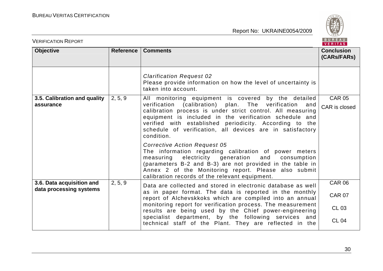

| <b>VERIFICATION REPORT</b>                           |           |                                                                                                                                                                                                                                                                                                                                                                                  | BUREAU<br>VERITAS                |
|------------------------------------------------------|-----------|----------------------------------------------------------------------------------------------------------------------------------------------------------------------------------------------------------------------------------------------------------------------------------------------------------------------------------------------------------------------------------|----------------------------------|
| <b>Objective</b>                                     | Reference | <b>Comments</b>                                                                                                                                                                                                                                                                                                                                                                  | <b>Conclusion</b><br>(CARs/FARs) |
|                                                      |           | <b>Clarification Request 02</b><br>Please provide information on how the level of uncertainty is<br>taken into account.                                                                                                                                                                                                                                                          |                                  |
| 3.5. Calibration and quality<br>assurance            | 2, 5, 9   | All monitoring equipment is covered by the detailed<br>verification (calibration) plan.<br>The verification<br>and<br>calibration process is under strict control. All measuring<br>equipment is included in the verification schedule and<br>verified with established periodicity. According to the<br>schedule of verification, all devices are in satisfactory<br>condition. | <b>CAR 05</b><br>CAR is closed   |
|                                                      |           | <b>Corrective Action Request 05</b><br>The information regarding calibration of power meters<br>measuring electricity generation and consumption<br>(parameters B-2 and B-3) are not provided in the table in<br>Annex 2 of the Monitoring report. Please also submit<br>calibration records of the relevant equipment.                                                          |                                  |
| 3.6. Data acquisition and<br>data processing systems | 2, 5, 9   | Data are collected and stored in electronic database as well                                                                                                                                                                                                                                                                                                                     | <b>CAR 06</b>                    |
|                                                      |           | as in paper format. The data is reported in the monthly<br>report of Alchevskkoks which are compiled into an annual<br>monitoring report for verification process. The measurement<br>results are being used by the Chief power-engineering                                                                                                                                      | <b>CAR 07</b>                    |
|                                                      |           |                                                                                                                                                                                                                                                                                                                                                                                  | <b>CL 03</b>                     |
|                                                      |           | specialist department, by the following services and<br>technical staff of the Plant. They are reflected in the                                                                                                                                                                                                                                                                  | <b>CL 04</b>                     |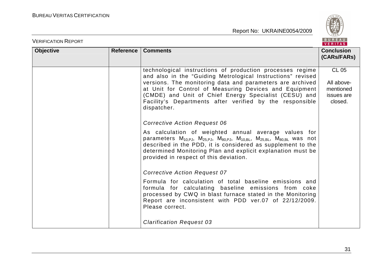

| <b>VERIFICATION REPORT</b> |                  |                                                                                                                                                                                                                                                                                                                                                                                                                                                                                                                                                                                                                                                                                                                                                                                                                                                                                                                                                                                                                                                                         | BUREAU<br>VERITAS                                                |
|----------------------------|------------------|-------------------------------------------------------------------------------------------------------------------------------------------------------------------------------------------------------------------------------------------------------------------------------------------------------------------------------------------------------------------------------------------------------------------------------------------------------------------------------------------------------------------------------------------------------------------------------------------------------------------------------------------------------------------------------------------------------------------------------------------------------------------------------------------------------------------------------------------------------------------------------------------------------------------------------------------------------------------------------------------------------------------------------------------------------------------------|------------------------------------------------------------------|
| <b>Objective</b>           | <b>Reference</b> | <b>Comments</b>                                                                                                                                                                                                                                                                                                                                                                                                                                                                                                                                                                                                                                                                                                                                                                                                                                                                                                                                                                                                                                                         | <b>Conclusion</b><br>(CARS/FARS)                                 |
|                            |                  | technological instructions of production processes regime<br>and also in the "Guiding Metrological Instructions" revised<br>versions. The monitoring data and parameters are archived<br>at Unit for Control of Measuring Devices and Equipment<br>(CMDE) and Unit of Chief Energy Specialist (CESU) and<br>Facility's Departments after verified by the responsible<br>dispatcher.<br><b>Corrective Action Request 06</b><br>As calculation of weighted annual average values for<br>parameters $M_{10,PJ}$ , $M_{25,PJ}$ , $M_{80,PJ}$ , $M_{10,BL}$ , $M_{25,BL}$ , $M_{80,BL}$ was not<br>described in the PDD, it is considered as supplement to the<br>determined Monitoring Plan and explicit explanation must be<br>provided in respect of this deviation.<br><b>Corrective Action Request 07</b><br>Formula for calculation of total baseline emissions and<br>formula for calculating baseline emissions from coke<br>processed by CWQ in blast furnace stated in the Monitoring<br>Report are inconsistent with PDD ver.07 of 22/12/2009.<br>Please correct. | <b>CL 05</b><br>All above-<br>mentioned<br>issues are<br>closed. |
|                            |                  | <b>Clarification Request 03</b>                                                                                                                                                                                                                                                                                                                                                                                                                                                                                                                                                                                                                                                                                                                                                                                                                                                                                                                                                                                                                                         |                                                                  |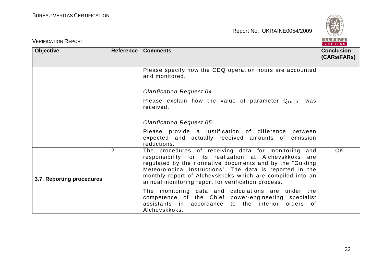

| <b>VERIFICATION REPORT</b> |                |                                                                                                                                                                                                                                                                                                                                                            | BUREAU<br>VERITAS                |
|----------------------------|----------------|------------------------------------------------------------------------------------------------------------------------------------------------------------------------------------------------------------------------------------------------------------------------------------------------------------------------------------------------------------|----------------------------------|
| <b>Objective</b>           | Reference      | <b>Comments</b>                                                                                                                                                                                                                                                                                                                                            | <b>Conclusion</b><br>(CARs/FARs) |
|                            |                | Please specify how the CDQ operation hours are accounted<br>and monitored.                                                                                                                                                                                                                                                                                 |                                  |
|                            |                | <b>Clarification Request 04</b>                                                                                                                                                                                                                                                                                                                            |                                  |
|                            |                | Please explain how the value of parameter $Q_{OE, BL}$ was<br>received.                                                                                                                                                                                                                                                                                    |                                  |
|                            |                | <b>Clarification Request 05</b>                                                                                                                                                                                                                                                                                                                            |                                  |
|                            |                | Please provide a justification of difference between<br>expected and actually received amounts of emission<br>reductions.                                                                                                                                                                                                                                  |                                  |
| 3.7. Reporting procedures  | $\overline{2}$ | The procedures of receiving data for monitoring and<br>responsibility for its realization at Alchevskkoks are<br>regulated by the normative documents and by the "Guiding"<br>Meteorological Instructions". The data is reported in the<br>monthly report of Alchevskkoks which are compiled into an<br>annual monitoring report for verification process. | <b>OK</b>                        |
|                            |                | The monitoring data and calculations are under the<br>competence of the Chief power-engineering specialist<br>assistants in accordance to the interior orders of<br>Alchevskkoks.                                                                                                                                                                          |                                  |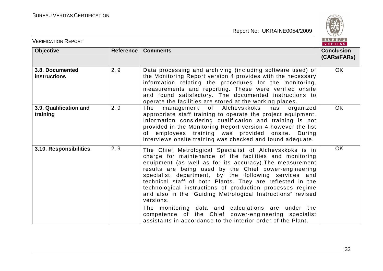

| <b>VERIFICATION REPORT</b>             |           |                                                                                                                                                                                                                                                                                                                                                                                                                                                                                                                                                                                                                                                                                     | BUREAU<br><b>VERITAS</b>         |
|----------------------------------------|-----------|-------------------------------------------------------------------------------------------------------------------------------------------------------------------------------------------------------------------------------------------------------------------------------------------------------------------------------------------------------------------------------------------------------------------------------------------------------------------------------------------------------------------------------------------------------------------------------------------------------------------------------------------------------------------------------------|----------------------------------|
| <b>Objective</b>                       | Reference | <b>Comments</b>                                                                                                                                                                                                                                                                                                                                                                                                                                                                                                                                                                                                                                                                     | <b>Conclusion</b><br>(CARs/FARs) |
| 3.8. Documented<br><b>instructions</b> | 2, 9      | Data processing and archiving (including software used) of<br>the Monitoring Report version 4 provides with the necessary<br>information relating the procedures for the monitoring,<br>measurements and reporting. These were verified onsite<br>and found satisfactory. The documented instructions to<br>operate the facilities are stored at the working places.                                                                                                                                                                                                                                                                                                                | OK                               |
| 3.9. Qualification and<br>training     | 2, 9      | management of Alchevskkoks<br>The<br>has<br>organized<br>appropriate staff training to operate the project equipment.<br>Information considering qualification and training is not<br>provided in the Monitoring Report version 4 however the list<br>of employees training was provided onsite.<br>During<br>interviews onsite training was checked and found adequate.                                                                                                                                                                                                                                                                                                            | <b>OK</b>                        |
| 3.10. Responsibilities                 | 2, 9      | The Chief Metrological Specialist of Alchevskkoks is in<br>charge for maintenance of the facilities and monitoring<br>equipment (as well as for its accuracy). The measurement<br>results are being used by the Chief power-engineering<br>specialist department, by the following services and<br>technical staff of both Plants. They are reflected in the<br>technological instructions of production processes regime<br>and also in the "Guiding Metrological Instructions" revised<br>versions.<br>The monitoring data and calculations are under the<br>competence of the Chief power-engineering specialist<br>assistants in accordance to the interior order of the Plant. | <b>OK</b>                        |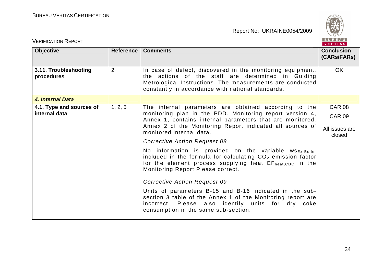

| <b>VERIFICATION REPORT</b>          |                |                                                                                                                                                                                                                                                            | BUREAU<br><b>VERITAS</b>         |
|-------------------------------------|----------------|------------------------------------------------------------------------------------------------------------------------------------------------------------------------------------------------------------------------------------------------------------|----------------------------------|
| <b>Objective</b>                    | Reference      | <b>Comments</b>                                                                                                                                                                                                                                            | <b>Conclusion</b><br>(CARs/FARs) |
| 3.11. Troubleshooting<br>procedures | $\overline{2}$ | In case of defect, discovered in the monitoring equipment,<br>the actions of the staff are determined in Guiding<br>Metrological Instructions. The measurements are conducted<br>constantly in accordance with national standards.                         | <b>OK</b>                        |
| 4. Internal Data                    |                |                                                                                                                                                                                                                                                            |                                  |
| 4.1. Type and sources of            | 1, 2, 5        | The internal parameters are obtained according to the                                                                                                                                                                                                      | <b>CAR 08</b>                    |
| internal data                       |                | monitoring plan in the PDD. Monitoring report version 4,<br>Annex 1, contains internal parameters that are monitored.<br>Annex 2 of the Monitoring Report indicated all sources of<br>monitored internal data.                                             | <b>CAR 09</b>                    |
|                                     |                |                                                                                                                                                                                                                                                            | All issues are<br>closed         |
|                                     |                | <b>Corrective Action Request 08</b>                                                                                                                                                                                                                        |                                  |
|                                     |                | No information is provided on the variable $ws_{Ex\text{-Boiler}}$<br>included in the formula for calculating CO <sub>2</sub> emission factor<br>for the element process supplying heat EF <sub>heat.CDQ</sub> in the<br>Monitoring Report Please correct. |                                  |
|                                     |                | <b>Corrective Action Request 09</b>                                                                                                                                                                                                                        |                                  |
|                                     |                | Units of parameters B-15 and B-16 indicated in the sub-<br>section 3 table of the Annex 1 of the Monitoring report are<br>incorrect. Please also identify units for dry coke<br>consumption in the same sub-section.                                       |                                  |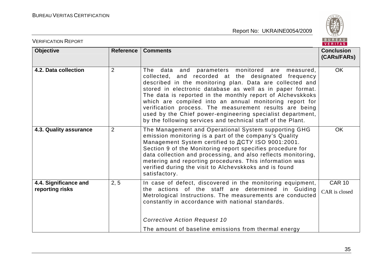

| <b>VERIFICATION REPORT</b>               |                |                                                                                                                                                                                                                                                                                                                                                                                                                                                                                                                                                            | BUREAU<br>VERITAS                |
|------------------------------------------|----------------|------------------------------------------------------------------------------------------------------------------------------------------------------------------------------------------------------------------------------------------------------------------------------------------------------------------------------------------------------------------------------------------------------------------------------------------------------------------------------------------------------------------------------------------------------------|----------------------------------|
| <b>Objective</b>                         | Reference      | <b>Comments</b>                                                                                                                                                                                                                                                                                                                                                                                                                                                                                                                                            | <b>Conclusion</b><br>(CARs/FARs) |
| 4.2. Data collection                     | $\overline{2}$ | data and parameters monitored are measured,<br><b>The</b><br>collected, and recorded at the designated frequency<br>described in the monitoring plan. Data are collected and<br>stored in electronic database as well as in paper format.<br>The data is reported in the monthly report of Alchevskkoks<br>which are compiled into an annual monitoring report for<br>verification process. The measurement results are being<br>used by the Chief power-engineering specialist department,<br>by the following services and technical staff of the Plant. | OK                               |
| 4.3. Quality assurance                   | $\overline{2}$ | The Management and Operational System supporting GHG<br>emission monitoring is a part of the company's Quality<br>Management System certified to ДСТУ ISO 9001:2001.<br>Section 9 of the Monitoring report specifies procedure for<br>data collection and processing, and also reflects monitoring,<br>metering and reporting procedures. This information was<br>verified during the visit to Alchevskkoks and is found<br>satisfactory.                                                                                                                  | <b>OK</b>                        |
| 4.4. Significance and<br>reporting risks | 2, 5           | In case of defect, discovered in the monitoring equipment,<br>the actions of the staff are determined in Guiding<br>Metrological Instructions. The measurements are conducted<br>constantly in accordance with national standards.<br><b>Corrective Action Request 10</b><br>The amount of baseline emissions from thermal energy                                                                                                                                                                                                                          | <b>CAR 10</b><br>CAR is closed   |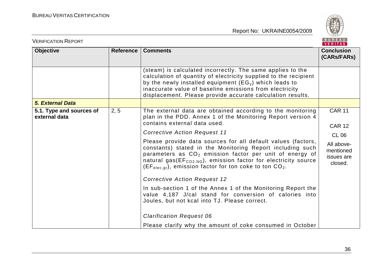

| <b>VERIFICATION REPORT</b>                |                  |                                                                                                                                                                                                                                                                                                                                        | <b>BUREAU</b><br>VERITAS                                         |
|-------------------------------------------|------------------|----------------------------------------------------------------------------------------------------------------------------------------------------------------------------------------------------------------------------------------------------------------------------------------------------------------------------------------|------------------------------------------------------------------|
| <b>Objective</b>                          | <b>Reference</b> | <b>Comments</b>                                                                                                                                                                                                                                                                                                                        | <b>Conclusion</b><br>(CARs/FARs)                                 |
|                                           |                  | (steam) is calculated incorrectly. The same applies to the<br>calculation of quantity of electricity supplied to the recipient<br>by the newly installed equipment $(EG_y)$ which leads to<br>inaccurate value of baseline emissions from electricity<br>displacement. Please provide accurate calculation results.                    |                                                                  |
| <b>5. External Data</b>                   |                  |                                                                                                                                                                                                                                                                                                                                        |                                                                  |
| 5.1. Type and sources of<br>external data | 2, 5             | The external data are obtained according to the monitoring<br>plan in the PDD. Annex 1 of the Monitoring Report version 4<br>contains external data used.                                                                                                                                                                              | <b>CAR 11</b>                                                    |
|                                           |                  | <b>Corrective Action Request 11</b>                                                                                                                                                                                                                                                                                                    | <b>CAR 12</b>                                                    |
|                                           |                  | Please provide data sources for all default values (factors,<br>constants) stated in the Monitoring Report including such<br>parameters as $CO2$ emission factor per unit of energy of<br>natural gas(EF <sub>CO2,NG</sub> ), emission factor for electricity source<br>$(EF_{elec,gr})$ , emission factor for ton coke to ton $CO2$ . | <b>CL 06</b><br>All above-<br>mentioned<br>issues are<br>closed. |
|                                           |                  | <b>Corrective Action Request 12</b>                                                                                                                                                                                                                                                                                                    |                                                                  |
|                                           |                  | In sub-section 1 of the Annex 1 of the Monitoring Report the<br>value 4,187 J/cal stand for conversion of calories into<br>Joules, but not kcal into TJ. Please correct.                                                                                                                                                               |                                                                  |
|                                           |                  | <b>Clarification Request 06</b>                                                                                                                                                                                                                                                                                                        |                                                                  |
|                                           |                  | Please clarify why the amount of coke consumed in October                                                                                                                                                                                                                                                                              |                                                                  |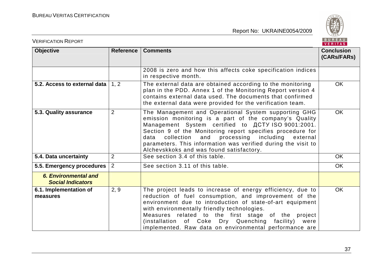

| <b>VERIFICATION REPORT</b>                              |                  |                                                                                                                                                                                                                                                                                                                                                                                                             | BUREAU<br><b>VERITAS</b>         |
|---------------------------------------------------------|------------------|-------------------------------------------------------------------------------------------------------------------------------------------------------------------------------------------------------------------------------------------------------------------------------------------------------------------------------------------------------------------------------------------------------------|----------------------------------|
| <b>Objective</b>                                        | <b>Reference</b> | <b>Comments</b>                                                                                                                                                                                                                                                                                                                                                                                             | <b>Conclusion</b><br>(CARs/FARs) |
|                                                         |                  | 2008 is zero and how this affects coke specification indices<br>in respective month.                                                                                                                                                                                                                                                                                                                        |                                  |
| 5.2. Access to external data                            | 1, 2             | The external data are obtained according to the monitoring<br>plan in the PDD. Annex 1 of the Monitoring Report version 4<br>contains external data used. The documents that confirmed<br>the external data were provided for the verification team.                                                                                                                                                        | <b>OK</b>                        |
| 5.3. Quality assurance                                  | $\overline{2}$   | The Management and Operational System supporting GHG<br>emission monitoring is a part of the company's Quality<br>Management System certified to ACTY ISO 9001:2001.<br>Section 9 of the Monitoring report specifies procedure for<br>collection and processing including external<br>data<br>parameters. This information was verified during the visit to<br>Alchevskkoks and was found satisfactory.     | <b>OK</b>                        |
| 5.4. Data uncertainty                                   | 2                | See section 3.4 of this table.                                                                                                                                                                                                                                                                                                                                                                              | <b>OK</b>                        |
| 5.5. Emergency procedures                               | $\sqrt{2}$       | See section 3.11 of this table.                                                                                                                                                                                                                                                                                                                                                                             | <b>OK</b>                        |
| <b>6. Environmental and</b><br><b>Social Indicators</b> |                  |                                                                                                                                                                                                                                                                                                                                                                                                             |                                  |
| 6.1. Implementation of<br>measures                      | 2, 9             | The project leads to increase of energy efficiency, due to<br>reduction of fuel consumption, and improvement of the<br>environment due to introduction of state-of-art equipment<br>with environmentally friendly technologies.<br>Measures related to the first stage of the project<br>of Coke Dry Quenching facility)<br>(installation<br>were<br>implemented. Raw data on environmental performance are | <b>OK</b>                        |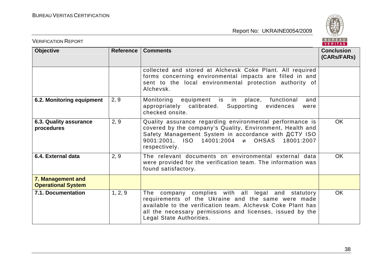

| <b>VERIFICATION REPORT</b>                     |           |                                                                                                                                                                                                                                                                 | BUREAU<br><b>VERITAS</b>         |
|------------------------------------------------|-----------|-----------------------------------------------------------------------------------------------------------------------------------------------------------------------------------------------------------------------------------------------------------------|----------------------------------|
| <b>Objective</b>                               | Reference | <b>Comments</b>                                                                                                                                                                                                                                                 | <b>Conclusion</b><br>(CARs/FARs) |
|                                                |           | collected and stored at Alchevsk Coke Plant. All required<br>forms concerning environmental impacts are filled in and<br>sent to the local environmental protection authority of<br>Alchevsk.                                                                   |                                  |
| 6.2. Monitoring equipment                      | 2, 9      | Monitoring equipment is in place,<br>functional<br>and<br>appropriately calibrated.<br>Supporting<br>evidences<br>were<br>checked onsite.                                                                                                                       |                                  |
| 6.3. Quality assurance<br>procedures           | 2, 9      | Quality assurance regarding environmental performance is<br>covered by the company's Quality, Environment, Health and<br>Safety Management System in accordance with ДСТУ ISO<br>9001:2001, ISO 14001:2004 и OHSAS 18001:2007<br>respectively.                  | <b>OK</b>                        |
| 6.4. External data                             | 2, 9      | The relevant documents on environmental external data<br>were provided for the verification team. The information was<br>found satisfactory.                                                                                                                    | <b>OK</b>                        |
| 7. Management and<br><b>Operational System</b> |           |                                                                                                                                                                                                                                                                 |                                  |
| 7.1. Documentation                             | 1, 2, 9   | The company complies with all legal and statutory<br>requirements of the Ukraine and the same were made<br>available to the verification team. Alchevsk Coke Plant has<br>all the necessary permissions and licenses, issued by the<br>Legal State Authorities. | <b>OK</b>                        |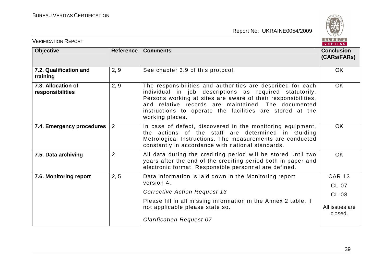

| <b>VERIFICATION REPORT</b>             |                |                                                                                                                                                                                                                                                                                                                               | BUREAU<br><b>VERITAS</b>               |
|----------------------------------------|----------------|-------------------------------------------------------------------------------------------------------------------------------------------------------------------------------------------------------------------------------------------------------------------------------------------------------------------------------|----------------------------------------|
| <b>Objective</b>                       | Reference      | <b>Comments</b>                                                                                                                                                                                                                                                                                                               | <b>Conclusion</b><br>(CARs/FARs)       |
| 7.2. Qualification and<br>training     | 2, 9           | See chapter 3.9 of this protocol.                                                                                                                                                                                                                                                                                             | <b>OK</b>                              |
| 7.3. Allocation of<br>responsibilities | 2, 9           | The responsibilities and authorities are described for each<br>individual in job descriptions as required statutorily.<br>Persons working at sites are aware of their responsibilities,<br>and relative records are maintained. The documented<br>instructions to operate the facilities are stored at the<br>working places. | <b>OK</b>                              |
| 7.4. Emergency procedures              | $\overline{2}$ | In case of defect, discovered in the monitoring equipment,<br>the actions of the staff are determined in Guiding<br>Metrological Instructions. The measurements are conducted<br>constantly in accordance with national standards.                                                                                            | <b>OK</b>                              |
| 7.5. Data archiving                    | $\overline{2}$ | All data during the crediting period will be stored until two<br>years after the end of the crediting period both in paper and<br>electronic format. Responsible personnel are defined.                                                                                                                                       | <b>OK</b>                              |
| 7.6. Monitoring report                 | 2, 5           | Data information is laid down in the Monitoring report<br>version 4.<br><b>Corrective Action Request 13</b><br>Please fill in all missing information in the Annex 2 table, if                                                                                                                                                | <b>CAR 13</b><br>CL 07<br><b>CL 08</b> |
|                                        |                | not applicable please state so.<br><b>Clarification Request 07</b>                                                                                                                                                                                                                                                            | All issues are<br>closed.              |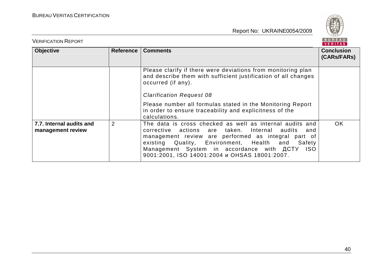

| <b>VERIFICATION REPORT</b>                       |                |                                                                                                                                                                                                                                                                                                                                   | BUREAU<br><b>VERITAS</b> |
|--------------------------------------------------|----------------|-----------------------------------------------------------------------------------------------------------------------------------------------------------------------------------------------------------------------------------------------------------------------------------------------------------------------------------|--------------------------|
| <b>Objective</b><br><b>Comments</b><br>Reference |                | <b>Conclusion</b><br>(CARs/FARs)                                                                                                                                                                                                                                                                                                  |                          |
|                                                  |                | Please clarify if there were deviations from monitoring plan<br>and describe them with sufficient justification of all changes<br>occurred (if any).<br><b>Clarification Request 08</b><br>Please number all formulas stated in the Monitoring Report                                                                             |                          |
|                                                  |                | in order to ensure traceability and explicitness of the<br>calculations.                                                                                                                                                                                                                                                          |                          |
| 7.7. Internal audits and<br>management review    | $\overline{2}$ | The data is cross checked as well as internal audits and<br>corrective actions are taken. Internal audits<br>and<br>management review are performed as integral part of<br>existing Quality, Environment, Health and Safety<br>Management System in accordance with ACTY<br>ISO.<br>9001:2001, ISO 14001:2004 и OHSAS 18001:2007. | OK.                      |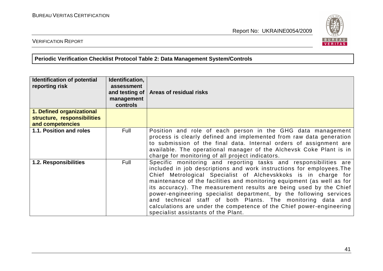

# VERIFICATION REPORT

**Periodic Verification Checklist Protocol Table 2: Data Management System/Controls** 

| <b>Identification of potential</b><br>reporting risk | Identification,<br>assessment<br>management<br>controls | and testing of   Areas of residual risks                                                                                                                                                                                                                                                                                                                                                                                                                                                                                                                                                                        |
|------------------------------------------------------|---------------------------------------------------------|-----------------------------------------------------------------------------------------------------------------------------------------------------------------------------------------------------------------------------------------------------------------------------------------------------------------------------------------------------------------------------------------------------------------------------------------------------------------------------------------------------------------------------------------------------------------------------------------------------------------|
| 1. Defined organizational                            |                                                         |                                                                                                                                                                                                                                                                                                                                                                                                                                                                                                                                                                                                                 |
| structure, responsibilities                          |                                                         |                                                                                                                                                                                                                                                                                                                                                                                                                                                                                                                                                                                                                 |
| and competencies                                     |                                                         |                                                                                                                                                                                                                                                                                                                                                                                                                                                                                                                                                                                                                 |
| 1.1. Position and roles                              | Full                                                    | Position and role of each person in the GHG data management<br>process is clearly defined and implemented from raw data generation<br>to submission of the final data. Internal orders of assignment are<br>available. The operational manager of the Alchevsk Coke Plant is in<br>charge for monitoring of all project indicators.                                                                                                                                                                                                                                                                             |
| <b>1.2. Responsibilities</b>                         | Full                                                    | Specific monitoring and reporting tasks and responsibilities are<br>included in job descriptions and work instructions for employees. The<br>Chief Metrological Specialist of Alchevskkoks is in charge for<br>maintenance of the facilities and monitoring equipment (as well as for<br>its accuracy). The measurement results are being used by the Chief<br>power-engineering specialist department, by the following services<br>and technical staff of both Plants. The monitoring data and<br>calculations are under the competence of the Chief power-engineering<br>specialist assistants of the Plant. |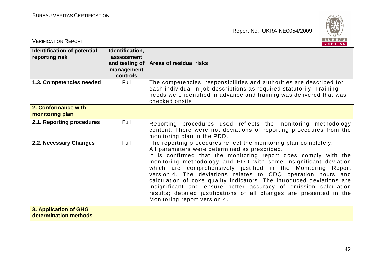

| <b>VERIFICATION REPORT</b>                           |                                                                                   | BUREAU<br><b>VERITAS</b>                                                                                                                                                                                                                                                                                                                                                                                                                                                                                                                                                                                                                      |
|------------------------------------------------------|-----------------------------------------------------------------------------------|-----------------------------------------------------------------------------------------------------------------------------------------------------------------------------------------------------------------------------------------------------------------------------------------------------------------------------------------------------------------------------------------------------------------------------------------------------------------------------------------------------------------------------------------------------------------------------------------------------------------------------------------------|
| <b>Identification of potential</b><br>reporting risk | Identification,<br>assessment<br>and testing of $\vert$<br>management<br>controls | Areas of residual risks                                                                                                                                                                                                                                                                                                                                                                                                                                                                                                                                                                                                                       |
| 1.3. Competencies needed                             | Full                                                                              | The competencies, responsibilities and authorities are described for<br>each individual in job descriptions as required statutorily. Training<br>needs were identified in advance and training was delivered that was<br>checked onsite.                                                                                                                                                                                                                                                                                                                                                                                                      |
| 2. Conformance with<br>monitoring plan               |                                                                                   |                                                                                                                                                                                                                                                                                                                                                                                                                                                                                                                                                                                                                                               |
| 2.1. Reporting procedures                            | Full                                                                              | Reporting procedures used reflects the monitoring methodology<br>content. There were not deviations of reporting procedures from the<br>monitoring plan in the PDD.                                                                                                                                                                                                                                                                                                                                                                                                                                                                           |
| 2.2. Necessary Changes                               | Full                                                                              | The reporting procedures reflect the monitoring plan completely.<br>All parameters were determined as prescribed.<br>It is confirmed that the monitoring report does comply with the<br>monitoring methodology and PDD with some insignificant deviation<br>which are comprehensively justified in the Monitoring Report<br>version 4. The deviations relates to CDQ operation hours and<br>calculation of coke quality indicators. The introduced deviations are<br>insignificant and ensure better accuracy of emission calculation<br>results; detailed justifications of all changes are presented in the<br>Monitoring report version 4. |
| 3. Application of GHG<br>determination methods       |                                                                                   |                                                                                                                                                                                                                                                                                                                                                                                                                                                                                                                                                                                                                                               |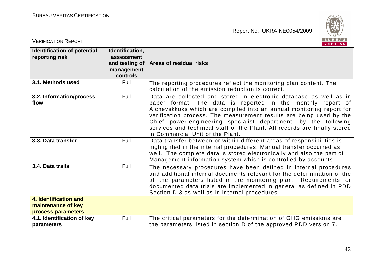

| <b>VERIFICATION REPORT</b>                                        |                                                                           | BUREAU<br><b>VERITAS</b>                                                                                                                                                                                                                                                                                                                                                                                                                                             |
|-------------------------------------------------------------------|---------------------------------------------------------------------------|----------------------------------------------------------------------------------------------------------------------------------------------------------------------------------------------------------------------------------------------------------------------------------------------------------------------------------------------------------------------------------------------------------------------------------------------------------------------|
| Identification of potential<br>reporting risk                     | Identification,<br>assessment<br>and testing of<br>management<br>controls | Areas of residual risks                                                                                                                                                                                                                                                                                                                                                                                                                                              |
| 3.1. Methods used                                                 | Full                                                                      | The reporting procedures reflect the monitoring plan content. The<br>calculation of the emission reduction is correct.                                                                                                                                                                                                                                                                                                                                               |
| 3.2. Information/process<br>flow                                  | Full                                                                      | Data are collected and stored in electronic database as well as in<br>paper format. The data is reported in the monthly report of<br>Alchevskkoks which are compiled into an annual monitoring report for<br>verification process. The measurement results are being used by the<br>Chief power-engineering specialist department, by the following<br>services and technical staff of the Plant. All records are finally stored<br>in Commercial Unit of the Plant. |
| 3.3. Data transfer                                                | Full                                                                      | Data transfer between or within different areas of responsibilities is<br>highlighted in the internal procedures. Manual transfer occurred as<br>well. The complete data is stored electronically and also the part of<br>Management information system which is controlled by accounts.                                                                                                                                                                             |
| 3.4. Data trails                                                  | Full                                                                      | The necessary procedures have been defined in internal procedures<br>and additional internal documents relevant for the determination of the<br>all the parameters listed in the monitoring plan. Requirements for<br>documented data trials are implemented in general as defined in PDD<br>Section D.3 as well as in internal procedures.                                                                                                                          |
| 4. Identification and<br>maintenance of key<br>process parameters |                                                                           |                                                                                                                                                                                                                                                                                                                                                                                                                                                                      |
| 4.1. Identification of key<br>parameters                          | Full                                                                      | The critical parameters for the determination of GHG emissions are<br>the parameters listed in section D of the approved PDD version 7.                                                                                                                                                                                                                                                                                                                              |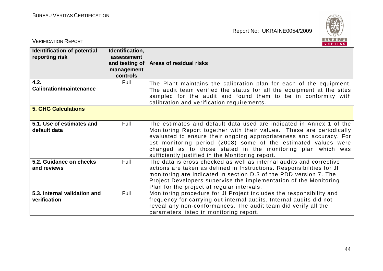

| <b>VERIFICATION REPORT</b>                           |                                                                           | BUREAU<br><b>VERITAS</b>                                                                                                                                                                                                                                                                                                                                                                                |
|------------------------------------------------------|---------------------------------------------------------------------------|---------------------------------------------------------------------------------------------------------------------------------------------------------------------------------------------------------------------------------------------------------------------------------------------------------------------------------------------------------------------------------------------------------|
| <b>Identification of potential</b><br>reporting risk | Identification,<br>assessment<br>and testing of<br>management<br>controls | Areas of residual risks                                                                                                                                                                                                                                                                                                                                                                                 |
| 4.2.<br><b>Calibration/maintenance</b>               | Full                                                                      | The Plant maintains the calibration plan for each of the equipment.<br>The audit team verified the status for all the equipment at the sites<br>sampled for the audit and found them to be in conformity with<br>calibration and verification requirements.                                                                                                                                             |
| <b>5. GHG Calculations</b>                           |                                                                           |                                                                                                                                                                                                                                                                                                                                                                                                         |
| 5.1. Use of estimates and<br>default data            | Full                                                                      | The estimates and default data used are indicated in Annex 1 of the<br>Monitoring Report together with their values. These are periodically<br>evaluated to ensure their ongoing appropriateness and accuracy. For<br>1st monitoring period (2008) some of the estimated values were<br>changed as to those stated in the monitoring plan which was<br>sufficiently justified in the Monitoring report. |
| 5.2. Guidance on checks<br>and reviews               | Full                                                                      | The data is cross checked as well as internal audits and corrective<br>actions are taken as defined in Instructions. Responsibilities for JI<br>monitoring are indicated in section D.3 of the PDD version 7. The<br>Project Developers supervise the implementation of the Monitoring<br>Plan for the project at regular intervals.                                                                    |
| 5.3. Internal validation and<br>verification         | Full                                                                      | Monitoring procedure for JI Project includes the responsibility and<br>frequency for carrying out internal audits. Internal audits did not<br>reveal any non-conformances. The audit team did verify all the<br>parameters listed in monitoring report.                                                                                                                                                 |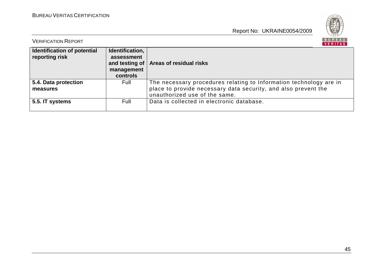

| <b>VERIFICATION REPORT</b>                    |                                                         | BUREAU<br>VERITAS                                                                                                                                                     |
|-----------------------------------------------|---------------------------------------------------------|-----------------------------------------------------------------------------------------------------------------------------------------------------------------------|
| Identification of potential<br>reporting risk | Identification,<br>assessment<br>management<br>controls | and testing of   Areas of residual risks                                                                                                                              |
| 5.4. Data protection<br>measures              | Full                                                    | The necessary procedures relating to Information technology are in<br>place to provide necessary data security, and also prevent the<br>unauthorized use of the same. |
| 5.5. IT systems                               | Full                                                    | Data is collected in electronic database.                                                                                                                             |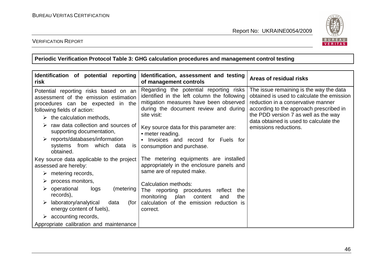

#### VERIFICATION REPORT

**Periodic Verification Protocol Table 3: GHG calculation procedures and management control testing** 

| Identification of potential reporting<br>risk                                                                                                                                                                                                                                                                                                                                   | Identification, assessment and testing<br>of management controls                                                                                                                                                                                                                                                                       | Areas of residual risks                                                                                                                                                                                                                                                           |
|---------------------------------------------------------------------------------------------------------------------------------------------------------------------------------------------------------------------------------------------------------------------------------------------------------------------------------------------------------------------------------|----------------------------------------------------------------------------------------------------------------------------------------------------------------------------------------------------------------------------------------------------------------------------------------------------------------------------------------|-----------------------------------------------------------------------------------------------------------------------------------------------------------------------------------------------------------------------------------------------------------------------------------|
| Potential reporting risks based on an<br>assessment of the emission estimation<br>procedures can be expected in the<br>following fields of action:<br>$\triangleright$ the calculation methods,<br>raw data collection and sources of<br>supporting documentation,<br>$\triangleright$ reports/databases/information<br>systems from<br>which<br>data<br><b>IS</b><br>obtained. | Regarding the potential reporting risks<br>identified in the left column the following<br>mitigation measures have been observed<br>during the document review and during<br>site visit:<br>Key source data for this parameter are:<br>• meter reading.<br>Invoices and record for Fuels for<br>$\bullet$<br>consumption and purchase. | The issue remaining is the way the data<br>obtained is used to calculate the emission<br>reduction in a conservative manner<br>according to the approach prescribed in<br>the PDD version 7 as well as the way<br>data obtained is used to calculate the<br>emissions reductions. |
| Key source data applicable to the project<br>assessed are hereby:<br>metering records,<br>➤<br>process monitors,<br>➤                                                                                                                                                                                                                                                           | The metering equipments are installed<br>appropriately in the enclosure panels and<br>same are of reputed make.<br>Calculation methods:                                                                                                                                                                                                |                                                                                                                                                                                                                                                                                   |
| $\triangleright$ operational<br>logs<br>(metering)<br>records),<br>laboratory/analytical<br>data<br>(for<br>➤<br>energy content of fuels),                                                                                                                                                                                                                                      | The reporting procedures<br>reflect<br>the<br>monitoring plan<br>content<br>the<br>and<br>calculation of the emission reduction is<br>correct.                                                                                                                                                                                         |                                                                                                                                                                                                                                                                                   |
| $\triangleright$ accounting records,<br>Appropriate calibration and maintenance                                                                                                                                                                                                                                                                                                 |                                                                                                                                                                                                                                                                                                                                        |                                                                                                                                                                                                                                                                                   |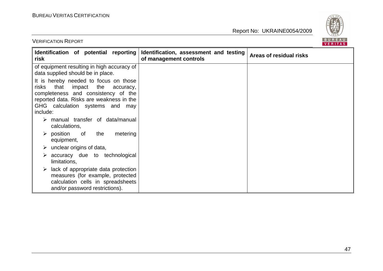VERIFICATION REPORT



| Identification of potential reporting<br>risk                                                                                                                                                                             | Identification, assessment and testing<br>of management controls | Areas of residual risks |
|---------------------------------------------------------------------------------------------------------------------------------------------------------------------------------------------------------------------------|------------------------------------------------------------------|-------------------------|
| of equipment resulting in high accuracy of<br>data supplied should be in place.                                                                                                                                           |                                                                  |                         |
| It is hereby needed to focus on those<br>risks<br>that<br>impact<br>the<br>accuracy,<br>completeness and consistency of the<br>reported data. Risks are weakness in the<br>GHG calculation systems and<br>may<br>include: |                                                                  |                         |
| $\triangleright$ manual transfer of data/manual<br>calculations,                                                                                                                                                          |                                                                  |                         |
| $\triangleright$ position<br>the<br>metering<br>of<br>equipment,                                                                                                                                                          |                                                                  |                         |
| $\triangleright$ unclear origins of data,                                                                                                                                                                                 |                                                                  |                         |
| $\triangleright$ accuracy due to technological<br>limitations,                                                                                                                                                            |                                                                  |                         |
| lack of appropriate data protection<br>➤<br>measures (for example, protected<br>calculation cells in spreadsheets<br>and/or password restrictions).                                                                       |                                                                  |                         |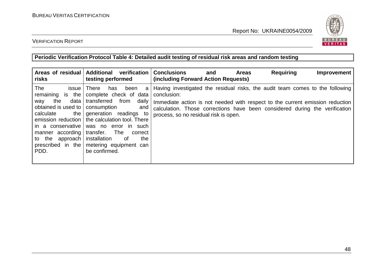

#### VERIFICATION REPORT

#### **Periodic Verification Protocol Table 4: Detailed audit testing of residual risk areas and random testing**

| Areas of residual<br>risks                                                                                                                                                                            | <b>Additional</b><br>verification<br>testing performed                                                                                                                                                                                                                                                                        | <b>Conclusions</b><br><b>Requiring</b><br><b>Areas</b><br>Improvement<br>and<br>(including Forward Action Requests)                                                                                                                                                                                   |
|-------------------------------------------------------------------------------------------------------------------------------------------------------------------------------------------------------|-------------------------------------------------------------------------------------------------------------------------------------------------------------------------------------------------------------------------------------------------------------------------------------------------------------------------------|-------------------------------------------------------------------------------------------------------------------------------------------------------------------------------------------------------------------------------------------------------------------------------------------------------|
| The<br><i>issue</i><br>remaining is the<br>data l<br>the<br>way<br>obtained is used to<br>the I<br>calculate<br>in a conservative<br>manner according<br>to the approach<br>prescribed in the<br>PDD. | <b>There</b><br>been<br>has<br>a<br>complete check of data<br>transferred<br>from<br>daily<br>consumption<br>and<br>generation readings to<br>emission reduction   the calculation tool. There<br>was no error in such<br>transfer.<br>The<br>correct<br>installation<br>of<br>the<br>metering equipment can<br>be confirmed. | Having investigated the residual risks, the audit team comes to the following<br>conclusion:<br>Immediate action is not needed with respect to the current emission reduction<br>calculation. Those corrections have been considered during the verification<br>process, so no residual risk is open. |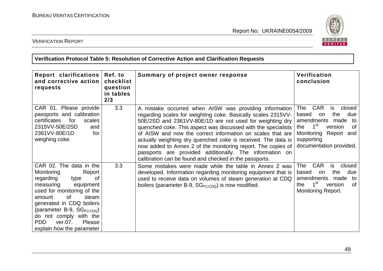

VERIFICATION REPORT

**Verification Protocol Table 5: Resolution of Corrective Action and Clarification Requests** 

| Report clarifications<br>and corrective action<br>requests                                                                                                                                                                                                                                                           | Ref. to<br>checklist<br>question<br>in tables<br>2/3 | Summary of project owner response                                                                                                                                                                                                                                                                                                                                                                                                                                                                                                                                        | Verification<br>conclusion                                                                                                                                                                              |
|----------------------------------------------------------------------------------------------------------------------------------------------------------------------------------------------------------------------------------------------------------------------------------------------------------------------|------------------------------------------------------|--------------------------------------------------------------------------------------------------------------------------------------------------------------------------------------------------------------------------------------------------------------------------------------------------------------------------------------------------------------------------------------------------------------------------------------------------------------------------------------------------------------------------------------------------------------------------|---------------------------------------------------------------------------------------------------------------------------------------------------------------------------------------------------------|
| CAR 01. Please provide<br>passports and calibration<br>certificates<br>for<br>scales<br>2315VV-50E/2SD<br>and<br>2361VV-80E/1D<br>for<br>weighing coke.                                                                                                                                                              | 3.3                                                  | A mistake occurred when AISW was providing information<br>regarding scales for weighting coke. Basically scales 2315VV-<br>50E/2SD and 2361VV-80E/1D are not used for weighting dry<br>quenched coke. This aspect was discussed with the specialists<br>of AISW and now the correct information on scales that are<br>actually weighting dry quenched coke is received. The data is<br>now added to Annex 2 of the monitoring report. The copies of<br>passports are provided additionally. The information on<br>calibration can be found and checked in the passports. | <b>CAR</b><br>The<br>is<br>closed<br>the<br>due<br>based<br>on<br>amendments<br>made<br>to<br>1 <sup>st</sup><br>version<br>0f<br>the<br>Monitoring Report and<br>supporting<br>documentation provided. |
| CAR 02. The data in the<br>Monitoring<br>Report<br>regarding<br>type<br>0f<br>measuring<br>equipment<br>used for monitoring of the<br>of<br>steam<br>amount<br>generated in CDQ boilers<br>(parameter B-9, $SG_{PJ,CDQ}$ )<br>do not comply with the<br>Please<br><b>PDD</b><br>ver.07.<br>explain how the parameter | 3.3                                                  | Some mistakes were made while the table in Annex 2 was<br>developed. Information regarding monitoring equipment that is<br>used to receive data on volumes of steam generation at CDQ<br>boilers (parameter B-9, $SG_{PJ,CDQ}$ ) is now modified.                                                                                                                                                                                                                                                                                                                        | <b>CAR</b><br>closed<br>The<br>is<br>the<br>due<br>based<br>on<br>amendments<br>made<br>to<br>$1^{\rm st}$<br>version<br>0f<br>the.<br><b>Monitoring Report.</b>                                        |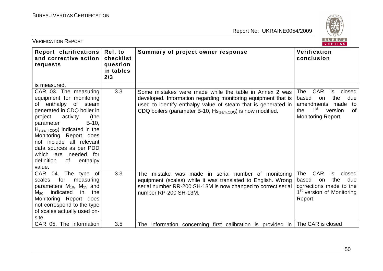

| <b>VERIFICATION REPORT</b>                                                                                                                                                                                                                                                                                                                                             |                                                      |                                                                                                                                                                                                                                                                    | BUREAU<br>VERITAS                                                                                                                                               |
|------------------------------------------------------------------------------------------------------------------------------------------------------------------------------------------------------------------------------------------------------------------------------------------------------------------------------------------------------------------------|------------------------------------------------------|--------------------------------------------------------------------------------------------------------------------------------------------------------------------------------------------------------------------------------------------------------------------|-----------------------------------------------------------------------------------------------------------------------------------------------------------------|
| Report clarifications<br>and corrective action<br>requests                                                                                                                                                                                                                                                                                                             | Ref. to<br>checklist<br>question<br>in tables<br>2/3 | Summary of project owner response                                                                                                                                                                                                                                  | Verification<br>conclusion                                                                                                                                      |
| is measured.                                                                                                                                                                                                                                                                                                                                                           |                                                      |                                                                                                                                                                                                                                                                    |                                                                                                                                                                 |
| CAR 03. The measuring<br>equipment for monitoring<br>enthalpy of<br>steam<br>of<br>generated in CDQ boiler in<br>project<br>activity<br>(the<br>parameter<br>$B-10$ ,<br>$H_{\text{steam,CDQ}}$ indicated in the<br>Monitoring Report does<br>not include all relevant<br>data sources as per PDD<br>needed for<br>which are<br>definition<br>enthalpy<br>of<br>value. | 3.3                                                  | Some mistakes were made while the table in Annex 2 was<br>developed. Information regarding monitoring equipment that is<br>used to identify enthalpy value of steam that is generated in<br>CDQ boilers (parameter B-10, HS <sub>team,CDQ</sub> ) is now modified. | <b>CAR</b><br>closed<br>The<br>is<br>the<br>due<br>based<br>on<br>amendments<br>made<br>to<br>$1^{\rm st}$<br>the<br>version<br>of<br><b>Monitoring Report.</b> |
| CAR 04. The type of<br>for<br>scales<br>measuring<br>parameters $M_{10}$ , $M_{25}$ and<br>the<br>indicated<br>in<br>$M_{80}$<br>Monitoring Report does<br>not correspond to the type<br>of scales actually used on-<br>site.                                                                                                                                          | 3.3                                                  | The mistake was made in serial number of monitoring<br>equipment (scales) while it was translated to English. Wrong<br>serial number RR-200 SH-13M is now changed to correct serial<br>number RP-200 SH-13M.                                                       | <b>CAR</b><br>is<br>closed<br><b>The</b><br>the<br>based<br>due<br>on<br>corrections made to the<br>1 <sup>st</sup> version of Monitoring<br>Report.            |
| CAR 05. The information                                                                                                                                                                                                                                                                                                                                                | 3.5                                                  | The information concerning first calibration is provided in                                                                                                                                                                                                        | The CAR is closed                                                                                                                                               |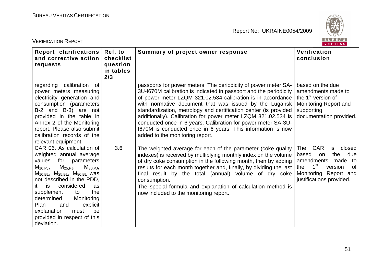

| <b>VERIFICATION REPORT</b>                                                                                                                                                                                                                                                                                                                                                                                      |                                                      |                                                                                                                                                                                                                                                                                                                                                                                                                                                                                                                                                                      | BUREAU<br>VERITAS                                                                                                                                                                    |
|-----------------------------------------------------------------------------------------------------------------------------------------------------------------------------------------------------------------------------------------------------------------------------------------------------------------------------------------------------------------------------------------------------------------|------------------------------------------------------|----------------------------------------------------------------------------------------------------------------------------------------------------------------------------------------------------------------------------------------------------------------------------------------------------------------------------------------------------------------------------------------------------------------------------------------------------------------------------------------------------------------------------------------------------------------------|--------------------------------------------------------------------------------------------------------------------------------------------------------------------------------------|
| <b>Report clarifications</b><br>and corrective action<br>requests                                                                                                                                                                                                                                                                                                                                               | Ref. to<br>checklist<br>question<br>in tables<br>2/3 | Summary of project owner response                                                                                                                                                                                                                                                                                                                                                                                                                                                                                                                                    | Verification<br>conclusion                                                                                                                                                           |
| regarding calibration<br>of<br>power meters measuring<br>electricity generation and<br>consumption (parameters<br>B-2 and B-3) are not<br>provided in the table in<br>Annex 2 of the Monitoring<br>report. Please also submit<br>calibration records of the<br>relevant equipment.                                                                                                                              |                                                      | passports for power meters. The periodicity of power meter SA-<br>3U-I670M calibration is indicated in passport and the periodicity<br>of power meter LZQM 321.02.534 calibration is in accordance<br>with normative document that was issued by the Lugansk<br>standardization, metrology and certification center (is provided<br>additionally). Calibration for power meter LZQM 321.02.534 is<br>conducted once in 6 years. Calibration for power meter SA-3U-<br>1670M is conducted once in 6 years. This information is now<br>added to the monitoring report. | based on the due<br>amendments made to<br>the 1 <sup>st</sup> version of<br>Monitoring Report and<br>supporting<br>documentation provided.                                           |
| CAR 06. As calculation of<br>weighted annual average<br>values<br>for parameters<br>$M_{25,PJ}$<br>$M_{80.PJ}$<br>$M_{10,PJ}$<br>$M_{10, BL}$ , $M_{25, BL}$ , $M_{80, BL}$ was<br>not described in the PDD,<br>considered<br>it<br>is<br>as<br>supplement<br>the<br>to<br>determined<br>Monitoring<br><b>Plan</b><br>and<br>explicit<br>be<br>explanation<br>must<br>provided in respect of this<br>deviation. | 3.6                                                  | The weighted average for each of the parameter (coke quality<br>indexes) is received by multiplying monthly index on the volume<br>of dry coke consumption in the following month, then by adding<br>results for each month together and, finally, by dividing the last<br>final result by the total (annual) volume of dry coke<br>consumption.<br>The special formula and explanation of calculation method is<br>now included to the monitoring report.                                                                                                           | <b>CAR</b><br>The<br>closed<br>is<br>the<br>based<br>due<br>on<br>amendments made to<br>1 <sup>st</sup><br>the<br>0f<br>version<br>Monitoring Report and<br>justifications provided. |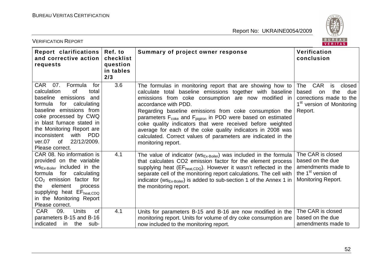

| <b>VERIFICATION REPORT</b>                                                                                                                                                                                                                                                                                                               |                                                      |                                                                                                                                                                                                                                                                                                                                                                                                                                                                                                                                                                             | BUREAU<br>VERITAS                                                                                                                                    |
|------------------------------------------------------------------------------------------------------------------------------------------------------------------------------------------------------------------------------------------------------------------------------------------------------------------------------------------|------------------------------------------------------|-----------------------------------------------------------------------------------------------------------------------------------------------------------------------------------------------------------------------------------------------------------------------------------------------------------------------------------------------------------------------------------------------------------------------------------------------------------------------------------------------------------------------------------------------------------------------------|------------------------------------------------------------------------------------------------------------------------------------------------------|
| Report clarifications<br>and corrective action<br>requests                                                                                                                                                                                                                                                                               | Ref. to<br>checklist<br>question<br>in tables<br>2/3 | Summary of project owner response                                                                                                                                                                                                                                                                                                                                                                                                                                                                                                                                           | Verification<br>conclusion                                                                                                                           |
| <b>CAR</b><br>07.<br>Formula<br>for<br>calculation<br><sub>of</sub><br>total<br>baseline emissions and<br>formula<br>for<br>calculating<br>baseline emissions from<br>coke processed by CWQ<br>in blast furnace stated in<br>the Monitoring Report are<br>inconsistent<br>with<br><b>PDD</b><br>ver.07 of 22/12/2009.<br>Please correct. | 3.6                                                  | The formulas in monitoring report that are showing how to<br>calculate total baseline emissions together with baseline<br>emissions from coke consumption are now modified in<br>accordance with PDD.<br>Regarding baseline emissions from coke consumption the<br>parameters F <sub>coke</sub> and F <sub>pigiron</sub> in PDD were based on estimated<br>coke quality indicators that were received before weighted<br>average for each of the coke quality indicators in 2008 was<br>calculated. Correct values of parameters are indicated in the<br>monitoring report. | <b>CAR</b><br><b>The</b><br>closed<br>is<br>based<br>the<br>due<br>on<br>corrections made to the<br>1 <sup>st</sup> version of Monitoring<br>Report. |
| CAR 08. No information is<br>provided on the variable<br>WS <sub>Ex-Boiler</sub> included in the<br>calculating<br>formula<br>for<br>$CO2$ emission factor for<br>element<br>the<br>process<br>supplying heat EF <sub>heat,CDQ</sub><br>in the Monitoring Report<br>Please correct.                                                      | 4.1                                                  | The value of indicator ( $\text{ws}_{\text{Ex-Boiler}}$ ) was included in the formula<br>that calculates CO2 emission factor for the element process<br>supplying heat ( $EF_{heat,CDQ}$ ). However it wasn't reflected in the<br>separate cell of the monitoring report calculations. The cell with<br>indicator ( $\text{ws}_{\text{Ex-Boiler}}$ ) is added to sub-section 1 of the Annex 1 in<br>the monitoring report.                                                                                                                                                  | The CAR is closed<br>based on the due<br>amendments made to<br>the 1 <sup>st</sup> version of<br>Monitoring Report.                                  |
| <b>CAR</b><br>09.<br><b>Units</b><br>0f<br>parameters B-15 and B-16<br>indicated in the<br>sub-                                                                                                                                                                                                                                          | 4.1                                                  | Units for parameters B-15 and B-16 are now modified in the<br>monitoring report. Units for volume of dry coke consumption are<br>now included to the monitoring report.                                                                                                                                                                                                                                                                                                                                                                                                     | The CAR is closed<br>based on the due<br>amendments made to                                                                                          |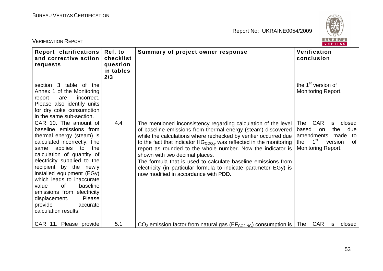

| <b>VERIFICATION REPORT</b>                                                                                                                                                                                                                                                                                                                                                                                                    |                                                      |                                                                                                                                                                                                                                                                                                                                                                                                                                                                                                                                                            | BUREAU<br><b>VERITAS</b>                                                                                                                                         |
|-------------------------------------------------------------------------------------------------------------------------------------------------------------------------------------------------------------------------------------------------------------------------------------------------------------------------------------------------------------------------------------------------------------------------------|------------------------------------------------------|------------------------------------------------------------------------------------------------------------------------------------------------------------------------------------------------------------------------------------------------------------------------------------------------------------------------------------------------------------------------------------------------------------------------------------------------------------------------------------------------------------------------------------------------------------|------------------------------------------------------------------------------------------------------------------------------------------------------------------|
| Report clarifications<br>and corrective action<br>requests                                                                                                                                                                                                                                                                                                                                                                    | Ref. to<br>checklist<br>question<br>in tables<br>2/3 | Summary of project owner response                                                                                                                                                                                                                                                                                                                                                                                                                                                                                                                          | Verification<br>conclusion                                                                                                                                       |
| section 3 table of the<br>Annex 1 of the Monitoring<br>incorrect.<br>report<br>are<br>Please also identify units<br>for dry coke consumption<br>in the same sub-section.                                                                                                                                                                                                                                                      |                                                      |                                                                                                                                                                                                                                                                                                                                                                                                                                                                                                                                                            | the 1 <sup>st</sup> version of<br><b>Monitoring Report.</b>                                                                                                      |
| CAR 10. The amount of<br>baseline emissions from<br>thermal energy (steam) is<br>calculated incorrectly. The<br>applies to<br>same<br>the<br>calculation of quantity of<br>electricity supplied to the<br>recipient by the newly<br>installed equipment (EGy)<br>which leads to inaccurate<br>value<br>0f<br>baseline<br>emissions from electricity<br>displacement.<br>Please<br>provide<br>accurate<br>calculation results. | 4.4                                                  | The mentioned inconsistency regarding calculation of the level<br>of baseline emissions from thermal energy (steam) discovered<br>while the calculations where rechecked by verifier occurred due<br>to the fact that indicator $HG_{CDQ,y}$ was reflected in the monitoring<br>report as rounded to the whole number. Now the indicator is<br>shown with two decimal places.<br>The formula that is used to calculate baseline emissions from<br>electricity (in particular formula to indicate parameter EGy) is<br>now modified in accordance with PDD. | <b>CAR</b><br><b>The</b><br>is<br>closed<br>the<br>due<br>based<br>on<br>amendments made to<br>$1^{\rm st}$<br><b>of</b><br>the<br>version<br>Monitoring Report. |
| CAR 11. Please provide                                                                                                                                                                                                                                                                                                                                                                                                        | 5.1                                                  | $CO2$ emission factor from natural gas ( $EFCO2,NG$ ) consumption is                                                                                                                                                                                                                                                                                                                                                                                                                                                                                       | <b>CAR</b><br>The<br>closed<br>is                                                                                                                                |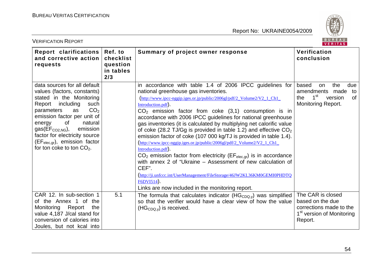

| <b>VERIFICATION REPORT</b>                                                                                                                                                                                                                                                                                                                                           |                                                      |                                                                                                                                                                                                                                                                                                                                                                                                                                                                                                                                                                                                                                                                                                                                                                                                                                                                                                                                                      | BUREAU<br>VERITAS                                                                                                              |
|----------------------------------------------------------------------------------------------------------------------------------------------------------------------------------------------------------------------------------------------------------------------------------------------------------------------------------------------------------------------|------------------------------------------------------|------------------------------------------------------------------------------------------------------------------------------------------------------------------------------------------------------------------------------------------------------------------------------------------------------------------------------------------------------------------------------------------------------------------------------------------------------------------------------------------------------------------------------------------------------------------------------------------------------------------------------------------------------------------------------------------------------------------------------------------------------------------------------------------------------------------------------------------------------------------------------------------------------------------------------------------------------|--------------------------------------------------------------------------------------------------------------------------------|
| Report clarifications<br>and corrective action<br>requests                                                                                                                                                                                                                                                                                                           | Ref. to<br>checklist<br>question<br>in tables<br>2/3 | Summary of project owner response                                                                                                                                                                                                                                                                                                                                                                                                                                                                                                                                                                                                                                                                                                                                                                                                                                                                                                                    | Verification<br>conclusion                                                                                                     |
| data sources for all default<br>values (factors, constants)<br>stated in the Monitoring<br>Report including<br>such<br>CO <sub>2</sub><br>parameters<br>as<br>emission factor per unit of<br>of<br>natural<br>energy<br>emission<br>$gas(EF_{CO2,NG}),$<br>factor for electricity source<br>(EF <sub>elec,gr</sub> ), emission factor<br>for ton coke to ton $CO2$ . |                                                      | in accordance with table 1.4 of 2006 IPCC guidelines for<br>national greenhouse gas inventories.<br>http://www.ipcc-nggip.iges.or.jp/public/2006gl/pdf/2_Volume2/V2_1_Ch1_<br>Introduction.pdf).<br>$CO2$ emission factor from coke (3,1) consumption is in<br>accordance with 2006 IPCC guidelines for national greenhouse<br>gas inventories (it is calculated by multiplying net calorific value<br>of coke (28.2 TJ/Gg is provided in table 1.2) and effective $CO2$<br>emission factor of coke (107 000 kg/TJ is provided in table 1.4).<br>http://www.ipcc-nggip.iges.or.jp/public/2006gl/pdf/2 Volume2/V2 1 Ch1<br>Introduction.pdf).<br>$CO2$ emission factor from electricity (EF <sub>elec,gr</sub> ) is in accordance<br>with annex 2 of "Ukraine – Assessment of new calculation of<br>CEF".<br>http://ji.unfccc.int/UserManagement/FileStorage/46JW2KL36KM0GEMI0PHDTQ<br>F6DVI514).<br>Links are now included in the monitoring report. | the<br>based<br>due<br>on<br>amendments made<br>to<br>$1^{\rm st}$<br><b>of</b><br>the<br>version<br><b>Monitoring Report.</b> |
| CAR 12. In sub-section 1<br>of the Annex 1 of the<br>Monitoring<br>Report<br>the<br>value 4,187 J/cal stand for<br>conversion of calories into<br>Joules, but not kcal into                                                                                                                                                                                          | 5.1                                                  | The formula that calculates indicator $(HGCDQ,y)$ was simplified<br>so that the verifier would have a clear view of how the value<br>$(HGCDQ,y)$ is received.                                                                                                                                                                                                                                                                                                                                                                                                                                                                                                                                                                                                                                                                                                                                                                                        | The CAR is closed<br>based on the due<br>corrections made to the<br>1 <sup>st</sup> version of Monitoring<br>Report.           |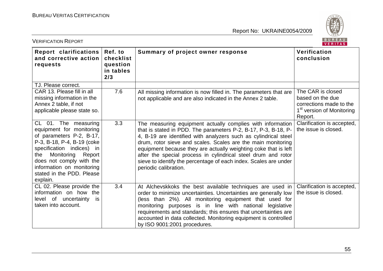

| <b>VERIFICATION REPORT</b>                                                                                                                                                                                                                                               |                                                      |                                                                                                                                                                                                                                                                                                                                                                                                                                                                                                  | BUREAU<br><b>VERITAS</b>                                                                                             |
|--------------------------------------------------------------------------------------------------------------------------------------------------------------------------------------------------------------------------------------------------------------------------|------------------------------------------------------|--------------------------------------------------------------------------------------------------------------------------------------------------------------------------------------------------------------------------------------------------------------------------------------------------------------------------------------------------------------------------------------------------------------------------------------------------------------------------------------------------|----------------------------------------------------------------------------------------------------------------------|
| Report clarifications<br>and corrective action<br>requests                                                                                                                                                                                                               | Ref. to<br>checklist<br>question<br>in tables<br>2/3 | Summary of project owner response                                                                                                                                                                                                                                                                                                                                                                                                                                                                | Verification<br>conclusion                                                                                           |
| TJ. Please correct.                                                                                                                                                                                                                                                      | 7.6                                                  |                                                                                                                                                                                                                                                                                                                                                                                                                                                                                                  |                                                                                                                      |
| CAR 13. Please fill in all<br>missing information in the<br>Annex 2 table, if not<br>applicable please state so.                                                                                                                                                         |                                                      | All missing information is now filled in. The parameters that are<br>not applicable and are also indicated in the Annex 2 table.                                                                                                                                                                                                                                                                                                                                                                 | The CAR is closed<br>based on the due<br>corrections made to the<br>1 <sup>st</sup> version of Monitoring<br>Report. |
| CL 01. The measuring<br>equipment for monitoring<br>of parameters P-2, B-17,<br>P-3, B-18, P-4, B-19 (coke<br>specification indices) in<br>Monitoring<br>Report<br>the<br>does not comply with the<br>information on monitoring<br>stated in the PDD. Please<br>explain. | 3.3                                                  | The measuring equipment actually complies with information<br>that is stated in PDD. The parameters P-2, B-17, P-3, B-18, P-<br>4, B-19 are identified with analyzers such as cylindrical steel<br>drum, rotor sieve and scales. Scales are the main monitoring<br>equipment because they are actually weighting coke that is left<br>after the special process in cylindrical steel drum and rotor<br>sieve to identify the percentage of each index. Scales are under<br>periodic calibration. | Clarification is accepted,<br>the issue is closed.                                                                   |
| CL 02. Please provide the<br>information on how the<br>level of uncertainty<br>is<br>taken into account.                                                                                                                                                                 | 3.4                                                  | At Alchevskkoks the best available techniques are used in<br>order to minimize uncertainties. Uncertainties are generally low<br>(less than 2%). All monitoring equipment that used for<br>monitoring purposes is in line with national legislative<br>requirements and standards; this ensures that uncertainties are<br>accounted in data collected. Monitoring equipment is controlled<br>by ISO 9001:2001 procedures.                                                                        | Clarification is accepted,<br>the issue is closed.                                                                   |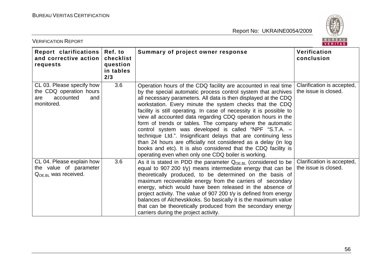

| <b>VERIFICATION REPORT</b>                                                                    | BUREAU<br>VERITAS                                    |                                                                                                                                                                                                                                                                                                                                                                                                                                                                                                                                                                                                                                                                                                                                                                                          |                                                    |
|-----------------------------------------------------------------------------------------------|------------------------------------------------------|------------------------------------------------------------------------------------------------------------------------------------------------------------------------------------------------------------------------------------------------------------------------------------------------------------------------------------------------------------------------------------------------------------------------------------------------------------------------------------------------------------------------------------------------------------------------------------------------------------------------------------------------------------------------------------------------------------------------------------------------------------------------------------------|----------------------------------------------------|
| <b>Report clarifications</b><br>and corrective action<br>requests                             | Ref. to<br>checklist<br>question<br>in tables<br>2/3 | Summary of project owner response                                                                                                                                                                                                                                                                                                                                                                                                                                                                                                                                                                                                                                                                                                                                                        | Verification<br>conclusion                         |
| CL 03. Please specify how<br>the CDQ operation hours<br>accounted<br>and<br>are<br>monitored. | 3.6                                                  | Operation hours of the CDQ facility are accounted in real time<br>by the special automatic process control system that archives<br>all necessary parameters. All data is then displayed at the CDQ<br>workstation. Every minute the system checks that the CDQ<br>facility is still operating. In case of necessity it is possible to<br>view all accounted data regarding CDQ operation hours in the<br>form of trends or tables. The company where the automatic<br>control system was developed is called "NPF "S.T.A. -<br>technique Ltd.". Insignificant delays that are continuing less<br>than 24 hours are officially not considered as a delay (in log<br>books and etc). It is also considered that the CDQ facility is<br>operating even when only one CDQ boiler is working. | Clarification is accepted,<br>the issue is closed. |
| CL 04. Please explain how<br>the value of parameter<br>$Q_{OE, BL}$ was received.             | 3.6                                                  | As it is stated in PDD the parameter $Q_{OE, BL}$ (considered to be<br>equal to 907 200 t/y) means intermediate energy that can be<br>theoretically produced, to be determined on the basis of<br>maximum recoverable energy from the carriers of secondary<br>energy, which would have been released in the absence of<br>project activity. The value of 907 200 t/y is defined from energy<br>balances of Alchevskkoks. So basically it is the maximum value<br>that can be theoretically produced from the secondary energy<br>carriers during the project activity.                                                                                                                                                                                                                  | Clarification is accepted,<br>the issue is closed. |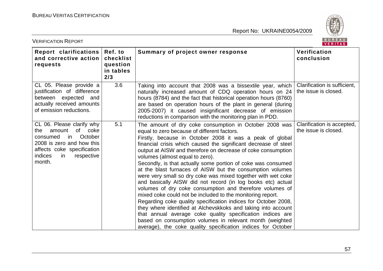

| <b>VERIFICATION REPORT</b>                                                                                                                                                                |                                                      |                                                                                                                                                                                                                                                                                                                                                                                                                                                                                                                                                                                                                                                                                                                                                                                                                                                                                                                                                                                                                                                            |                                                      |
|-------------------------------------------------------------------------------------------------------------------------------------------------------------------------------------------|------------------------------------------------------|------------------------------------------------------------------------------------------------------------------------------------------------------------------------------------------------------------------------------------------------------------------------------------------------------------------------------------------------------------------------------------------------------------------------------------------------------------------------------------------------------------------------------------------------------------------------------------------------------------------------------------------------------------------------------------------------------------------------------------------------------------------------------------------------------------------------------------------------------------------------------------------------------------------------------------------------------------------------------------------------------------------------------------------------------------|------------------------------------------------------|
| Report clarifications<br>and corrective action<br>requests                                                                                                                                | Ref. to<br>checklist<br>question<br>in tables<br>2/3 | Summary of project owner response                                                                                                                                                                                                                                                                                                                                                                                                                                                                                                                                                                                                                                                                                                                                                                                                                                                                                                                                                                                                                          | Verification<br>conclusion                           |
| CL 05. Please provide a<br>justification of difference<br>between expected and<br>actually received amounts<br>of emission reductions.                                                    | 3.6                                                  | Taking into account that 2008 was a bissextile year, which<br>naturally increased amount of CDQ operation hours on 24<br>hours (8784) and the fact that historical operation hours (8760)<br>are based on operation hours of the plant in general (during<br>2005-2007) it caused insignificant decrease of emission<br>reductions in comparison with the monitoring plan in PDD.                                                                                                                                                                                                                                                                                                                                                                                                                                                                                                                                                                                                                                                                          | Clarification is sufficient.<br>the issue is closed. |
| CL 06. Please clarify why<br>of<br>amount<br>coke<br>the<br>October<br>consumed<br>in<br>2008 is zero and how this<br>affects coke specification<br>indices<br>respective<br>in<br>month. | 5.1                                                  | The amount of dry coke consumption in October 2008 was<br>equal to zero because of different factors.<br>Firstly, because in October 2008 it was a peak of global<br>financial crisis which caused the significant decrease of steel<br>output at AISW and therefore on decrease of coke consumption<br>volumes (almost equal to zero).<br>Secondly, is that actually some portion of coke was consumed<br>at the blast furnaces of AISW but the consumption volumes<br>were very small so dry coke was mixed together with wet coke<br>and basically AISW did not record (in log books etc) actual<br>volumes of dry coke consumption and therefore volumes of<br>mixed coke could not be included to the monitoring report.<br>Regarding coke quality specification indices for October 2008,<br>they where identified at Alchevskkoks and taking into account<br>that annual average coke quality specification indices are<br>based on consumption volumes in relevant month (weighted<br>average), the coke quality specification indices for October | Clarification is accepted,<br>the issue is closed.   |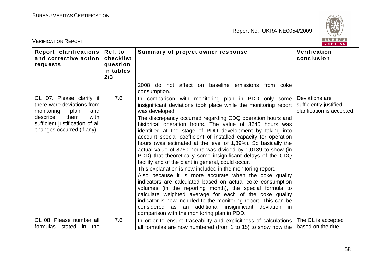

| <b>VERIFICATION REPORT</b>                                                                                                                                                       |                                                      |                                                                                                                                                                                                                                                                                                                                                                                                                                                                                                                                                                                                                                                                                                                                                                                                                                                                                                                                                                                                                                                                                                                                                   | BUREAU<br><b>VERITAS</b>                                                |
|----------------------------------------------------------------------------------------------------------------------------------------------------------------------------------|------------------------------------------------------|---------------------------------------------------------------------------------------------------------------------------------------------------------------------------------------------------------------------------------------------------------------------------------------------------------------------------------------------------------------------------------------------------------------------------------------------------------------------------------------------------------------------------------------------------------------------------------------------------------------------------------------------------------------------------------------------------------------------------------------------------------------------------------------------------------------------------------------------------------------------------------------------------------------------------------------------------------------------------------------------------------------------------------------------------------------------------------------------------------------------------------------------------|-------------------------------------------------------------------------|
| Report clarifications<br>and corrective action<br>requests                                                                                                                       | Ref. to<br>checklist<br>question<br>in tables<br>2/3 | Summary of project owner response                                                                                                                                                                                                                                                                                                                                                                                                                                                                                                                                                                                                                                                                                                                                                                                                                                                                                                                                                                                                                                                                                                                 | Verification<br>conclusion                                              |
|                                                                                                                                                                                  |                                                      | 2008<br>not affect on<br>baseline emissions from coke<br>do<br>consumption.                                                                                                                                                                                                                                                                                                                                                                                                                                                                                                                                                                                                                                                                                                                                                                                                                                                                                                                                                                                                                                                                       |                                                                         |
| CL 07. Please clarify if<br>there were deviations from<br>monitoring<br>plan<br>and<br>with<br>describe<br>them<br>sufficient justification of all<br>changes occurred (if any). | 7.6                                                  | In comparison with monitoring plan in PDD only some<br>insignificant deviations took place while the monitoring report<br>was developed.<br>The discrepancy occurred regarding CDQ operation hours and<br>historical operation hours. The value of 8640 hours was<br>identified at the stage of PDD development by taking into<br>account special coefficient of installed capacity for operation<br>hours (was estimated at the level of 1,39%). So basically the<br>actual value of 8760 hours was divided by 1,0139 to show (in<br>PDD) that theoretically some insignificant delays of the CDQ<br>facility and of the plant in general, could occur.<br>This explanation is now included in the monitoring report.<br>Also because it is more accurate when the coke quality<br>indicators are calculated based on actual coke consumption<br>volumes (in the reporting month), the special formula to<br>calculate weighted average for each of the coke quality<br>indicator is now included to the monitoring report. This can be<br>considered as an additional insignificant deviation in<br>comparison with the monitoring plan in PDD. | Deviations are<br>sufficiently justified;<br>clarification is accepted. |
| CL 08. Please number all<br>formulas stated in the                                                                                                                               | 7.6                                                  | In order to ensure traceability and explicitness of calculations<br>all formulas are now numbered (from 1 to 15) to show how the                                                                                                                                                                                                                                                                                                                                                                                                                                                                                                                                                                                                                                                                                                                                                                                                                                                                                                                                                                                                                  | The CL is accepted<br>based on the due                                  |
|                                                                                                                                                                                  |                                                      |                                                                                                                                                                                                                                                                                                                                                                                                                                                                                                                                                                                                                                                                                                                                                                                                                                                                                                                                                                                                                                                                                                                                                   |                                                                         |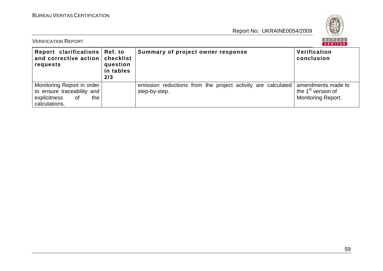

| BUREAU<br><b>VERIFICATION REPORT</b><br>VERITAS                                                        |                                                      |                                                                               |                                                                                   |  |
|--------------------------------------------------------------------------------------------------------|------------------------------------------------------|-------------------------------------------------------------------------------|-----------------------------------------------------------------------------------|--|
| Report clarifications  <br>and corrective action<br>requests                                           | Ref. to<br>checklist<br>question<br>in tables<br>2/3 | Summary of project owner response                                             | Verification<br>conclusion                                                        |  |
| Monitoring Report in order<br>to ensure traceability and<br>explicitness<br>the<br>of<br>calculations. |                                                      | emission reductions from the project activity are calculated<br>step-by-step. | amendments made to<br>the 1 <sup>st</sup> version of<br><b>Monitoring Report.</b> |  |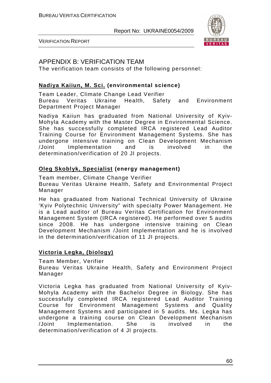

VERIFICATION REPORT

# APPENDIX B: VERIFICATION TEAM

The verification team consists of the following personnel:

### **Nadiya Kaiiun, M. Sci. (environmental science)**

Team Leader, Climate Change Lead Verifier Bureau Veritas Ukraine Health, Safety and Environment Department Project Manager

Nadiya Kaiiun has graduated from National University of Kyiv-Mohyla Academy with the Master Degree in Environmental Science. She has successfully completed IRCA registered Lead Auditor Training Course for Environment Management Systems. She has undergone intensive training on Clean Development Mechanism /Joint Implementation and is involved in the determination/verification of 20 JI projects.

### **Oleg Skoblyk, Specialist (energy management)**

Team member, Climate Change Verifier

Bureau Veritas Ukraine Health, Safety and Environmental Project Manager

He has graduated from National Technical University of Ukraine 'Kyiv Polytechnic University" with specialty Power Management. He is a Lead auditor of Bureau Veritas Certification for Environment Management System (IRCA registered). He performed over 5 audits since 2008. He has undergone intensive training on Clean Development Mechanism /Joint Implementation and he is involved in the determination/verification of 11 JI projects.

### **Victoria Legka, (biology)**

Team Member, Verifier

Bureau Veritas Ukraine Health, Safety and Environment Project Manager

Victoria Legka has graduated from National University of Kyiv-Mohyla Academy with the Bachelor Degree in Biology. She has successfully completed IRCA registered Lead Auditor Training Course for Environment Management Systems and Quality Management Systems and participated in 5 audits. Ms. Legka has undergone a training course on Clean Development Mechanism /Joint Implementation. She is involved in the determination/verification of 4 JI projects.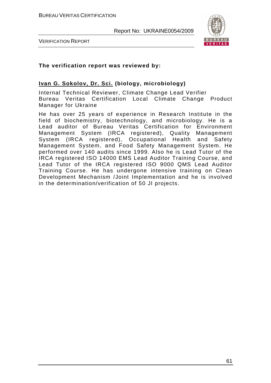



#### **The verification report was reviewed by:**

#### **Ivan G. Sokolov, Dr. Sci. (biology, microbiology)**

Internal Technical Reviewer, Climate Change Lead Verifier Bureau Veritas Certification Local Climate Change Product Manager for Ukraine

He has over 25 years of experience in Research Institute in the field of biochemistry, biotechnology, and microbiology. He is a Lead auditor of Bureau Veritas Certification for Environment Management System (IRCA registered), Quality Management System (IRCA registered), Occupational Health and Safety Management System, and Food Safety Management System. He performed over 140 audits since 1999. Also he is Lead Tutor of the IRCA registered ISO 14000 EMS Lead Auditor Training Course, and Lead Tutor of the IRCA registered ISO 9000 QMS Lead Auditor Training Course. He has undergone intensive training on Clean Development Mechanism /Joint Implementation and he is involved in the determination/verification of 50 JI projects.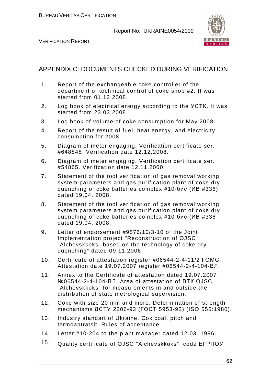

VERIFICATION REPORT

# APPENDIX C: DOCUMENTS CHECKED DURING VERIFICATION

- 1. Report of the exchangeable coke controller of the department of technical control of coke shop #2. It was started from 01.12.2008.
- 2. Log book of electrical energy according to the УСТК. It was started from 23.03.2008.
- 3. Log book of volume of coke consumption for May 2008.
- 4. Report of the result of fuel, heat energy, and electricity consumption for 2008.
- 5. Diagram of meter engaging. Verification certificate ser. #648848. Verification date 12.12.2008.
- 6. Diagram of meter engaging. Verification certificate ser. #54865. Verification date 12.11.2000.
- 7. Statement of the tool verification of gas removal working system parameters and gas purification plant of coke dry quenching of coke batteries complex #10-бис (ИВ #336) dated 19.04. 2008.
- 8. Statement of the tool verification of gas removal working system parameters and gas purification plant of coke dry quenching of coke batteries complex #10-бис (ИВ #338 dated 19.04. 2008.
- 9. Letter of endorsement #9876/10/3-10 of the Joint Implementation project "Reconstruction of OJSC "Alchevskkoks" based on the technology of coke dry quenching" dated 09.11.2006.
- 10. Certificate of attestation register #06544-2-4-11/2 ГОМС. Attestation date 19.07.2007 register #06544-2-4-104-ВЛ.
- 11. Annex to the Certificate of attestation dated 19.07.2007 №06544-2-4-104-ВЛ. Area of attestation of ВТК OJSC "Alchevskkoks" for measurements in and outside the distribution of state metrological supervision.
- 12. Coke with size 20 mm and more. Determination of strength mechanisms ДСТУ 2206-93 (ГОСТ 5953-93) (ISO 556:1980).
- 13. Industry standart of Ukraine. Cox coal, pitch and termoantratsit. Rules of acceptance.
- 14. Letter #10-204 to the plant manager dated 12.03. 1996.
- 15. Quality certificate of OJSC "Alchevskkoks", code ЕГРПОУ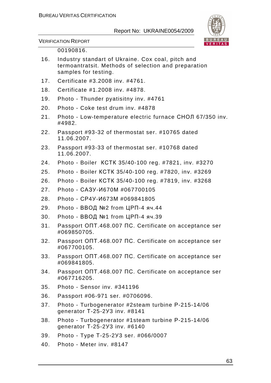

VERIFICATION REPORT

#### 00190816.

- 16. Industry standart of Ukraine. Cox coal, pitch and termoantratsit. Methods of selection and preparation samples for testing.
- 17. Certificate #3.2008 inv. #4761.
- 18. Certificate #1.2008 inv. #4878.
- 19. Photo Thunder pyatisitny inv. #4761
- 20. Photo Coke test drum inv. #4878
- 21. Photo Low-temperature electric furnace СНОЛ 67/350 inv. #4982.
- 22. Passport #93-32 of thermostat ser. #10765 dated 11.06.2007.
- 23. Passport #93-33 of thermostat ser. #10768 dated 11.06.2007.
- 24. Photo Boiler КСТК 35/40-100 reg. #7821, inv. #3270
- 25. Photo Boiler КСТК 35/40-100 reg. #7820, inv. #3269
- 26. Photo Boiler КСТК 35/40-100 reg. #7819, inv. #3268
- 27. Photo САЗУ-И670М #067700105
- 28. Photo СР4У-И673М #069841805
- 29. Photo ВВОД №2 from ЦРП-4 яч.44
- 30. Photo ВВОД №1 from ЦРП-4 яч.39
- 31. Passport ОПТ.468.007 ПС. Certificate on acceptance ser #069850705.
- 32. Passport ОПТ.468.007 ПС. Certificate on acceptance ser #067700105.
- 33. Passport ОПТ.468.007 ПС. Certificate on acceptance ser #069841805.
- 34. Passport ОПТ.468.007 ПС. Certificate on acceptance ser #067716205.
- 35. Photo Sensor inv. #341196
- 36. Passport #06-971 ser. #0706096.
- 37. Photo Turbogenerator #2steam turbine Р-215-14/06 generator Т-25-2У3 inv. #8141
- 38. Photo Turbogenerator #1steam turbine Р-215-14/06 generator Т-25-2У3 inv. #6140
- 39. Photo Type Т-25-2У3 ser. #066/0007
- 40. Photo Meter inv. #8147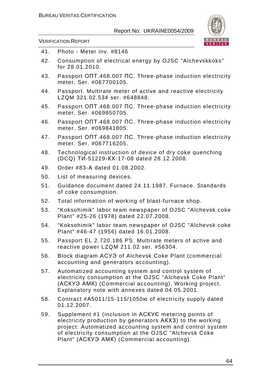

VERIFICATION REPORT

| 41. | Photo - Meter inv. #8146                                                                                                                                                                                                                |
|-----|-----------------------------------------------------------------------------------------------------------------------------------------------------------------------------------------------------------------------------------------|
| 42. | Consumption of electrical energy by OJSC "Alchevskkoks"<br>for 28.01.2010.                                                                                                                                                              |
| 43. | Passport ONT.468.007 NC. Three-phase induction electricity<br>meter. Ser. #067700105.                                                                                                                                                   |
| 44. | Passport. Multirate meter of active and reactive electricity<br>LZQM 321.02.534 ser. #648848.                                                                                                                                           |
| 45. | Passport ONT.468.007 NC. Three-phase induction electricity<br>meter. Ser. #069850705.                                                                                                                                                   |
| 46. | Passport ONT.468.007 NC. Three-phase induction electricity<br>meter. Ser. #069841805.                                                                                                                                                   |
| 47. | Passport ONT.468.007 NC. Three-phase induction electricity<br>meter. Ser. #067716205.                                                                                                                                                   |
| 48. | Technological instruction of device of dry coke quenching<br>(DCQ) TV-51229-KX-17-08 dated 28.12.2008.                                                                                                                                  |
| 49. | Order #83-A dated 01.08.2002.                                                                                                                                                                                                           |
| 50. | List of measuring devices.                                                                                                                                                                                                              |
| 51. | Guidance document dated 24.11.1987. Furnace. Standards<br>of coke consumption.                                                                                                                                                          |
| 52. | Total information of working of blast-furnace shop.                                                                                                                                                                                     |
| 53. | "Koksohimik" labor team newspaper of OJSC "Alchevsk coke<br>Plant" #25-26 (1978) dated 22.07.2008.                                                                                                                                      |
| 54. | "Koksohimik" labor team newspaper of OJSC "Alchevsk coke<br>Plant" #46-47 (1956) dated 16.01.2008.                                                                                                                                      |
| 55. | Passport EL 2.720.186 PS. Multirate meters of active and<br>reactive power LZQM 211.02 ser. #56304.                                                                                                                                     |
| 56. | Block diagram ACY3 of Alchevsk Coke Plant (commercial<br>accounting and generators accounting).                                                                                                                                         |
| 57. | Automatized accounting system and control system of<br>electricity consumption at the OJSC "Alchevsk Coke Plant"<br>(ACKY3 AMK) (Commercial accounting). Working project.<br>Explanatory note with annexes dated 04.05.2001.            |
| 58. | Contract #A5011/15-115/1050 to delectricity supply dated<br>01.12.2007.                                                                                                                                                                 |
| 59. | Supplement #1 (inclusion in ACKYE metering points of<br>electricity production by generators AKX3) to the working<br>project: Automatized accounting system and control system<br>of electricity consumption at the OJSC "Alchevsk Coke |

Plant" (АСКУЭ АМК) (Commercial accounting).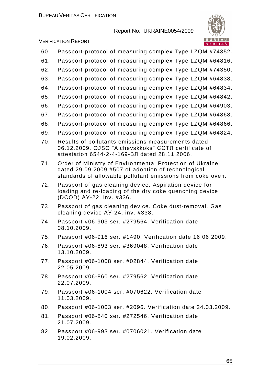

VERIFICATION REPORT

|     | <u>VERIIAS</u>                                                                                                                                                               |
|-----|------------------------------------------------------------------------------------------------------------------------------------------------------------------------------|
| 60. | Passport-protocol of measuring complex Type LZQM #74352.                                                                                                                     |
| 61. | Passport-protocol of measuring complex Type LZQM #64816.                                                                                                                     |
| 62. | Passport-protocol of measuring complex Type LZQM #74350.                                                                                                                     |
| 63. | Passport-protocol of measuring complex Type LZQM #64838.                                                                                                                     |
| 64. | Passport-protocol of measuring complex Type LZQM #64834.                                                                                                                     |
| 65. | Passport-protocol of measuring complex Type LZQM #64842.                                                                                                                     |
| 66. | Passport-protocol of measuring complex Type LZQM #64903.                                                                                                                     |
| 67. | Passport-protocol of measuring complex Type LZQM #64868.                                                                                                                     |
| 68. | Passport-protocol of measuring complex Type LZQM #64866.                                                                                                                     |
| 69. | Passport-protocol of measuring complex Type LZQM #64824.                                                                                                                     |
| 70. | Results of pollutants emissions measurements dated<br>06.12.2009. OJSC "Alchevskkoks" ССТЛ certificate of<br>attestation 6544-2-4-169-ВЛ dated 28.11.2006.                   |
| 71. | Order of Ministry of Environmental Protection of Ukraine<br>dated 29.09.2009 #507 of adoption of technological<br>standards of allowable pollutant emissions from coke oven. |
| 72. | Passport of gas cleaning device. Aspiration device for<br>loading and re-loading of the dry coke quenching device<br>(DCQD) AY-22, inv. #336.                                |
| 73. | Passport of gas cleaning device. Coke dust-removal. Gas<br>cleaning device AY-24, inv. #338.                                                                                 |
| 74. | Passport #06-903 ser. #279564. Verification date<br>08.10.2009.                                                                                                              |
| 75. | Passport #06-916 ser. #1490. Verification date 16.06.2009.                                                                                                                   |
| 76. | Passport #06-893 ser. #369048. Verification date<br>13.10.2009.                                                                                                              |
| 77. | Passport #06-1008 ser. #02844. Verification date<br>22.05.2009.                                                                                                              |
| 78. | Passport #06-860 ser. #279562. Verification date<br>22.07.2009.                                                                                                              |
| 79. | Passport #06-1004 ser. #070622. Verification date<br>11.03.2009.                                                                                                             |
| 80. | Passport #06-1003 ser. #2096. Verification date 24.03.2009.                                                                                                                  |
| 81. | Passport #06-840 ser. #272546. Verification date<br>21.07.2009.                                                                                                              |
| 82. | Passport #06-993 ser. #0706021. Verification date<br>19.02.2009.                                                                                                             |